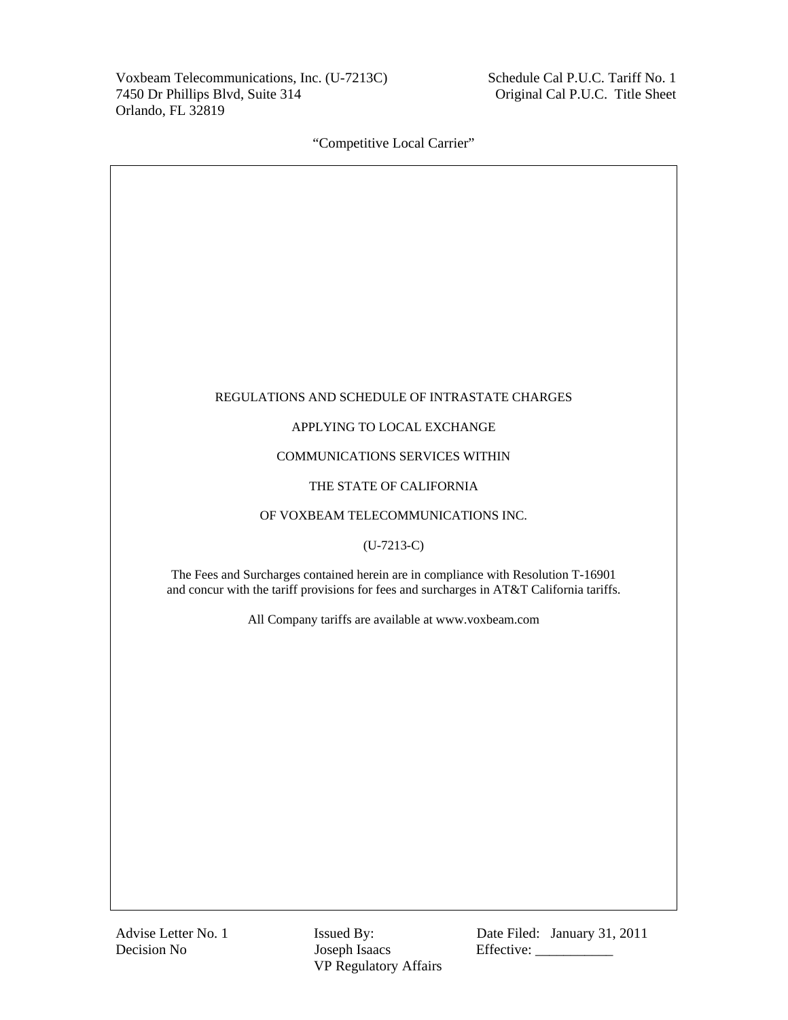Voxbeam Telecommunications, Inc. (U-7213C) 7450 Dr Phillips Blvd, Suite 314 Orlando, FL 32819

 Schedule Cal P.U.C. Tariff No. 1 Original Cal P.U.C. Title Sheet

"Competitive Local Carrier"

### REGULATIONS AND SCHEDULE OF INTRASTATE CHARGES

## APPLYING TO LOCAL EXCHANGE

## COMMUNICATIONS SERVICES WITHIN

## THE STATE OF CALIFORNIA

### OF VOXBEAM TELECOMMUNICATIONS INC.

# (U-7213-C)

The Fees and Surcharges contained herein are in compliance with Resolution T-16901 and concur with the tariff provisions for fees and surcharges in AT&T California tariffs.

All Company tariffs are available at www.voxbeam.com

Decision No Joseph Isaacs Effective: \_\_\_\_\_\_\_\_\_\_\_ VP Regulatory Affairs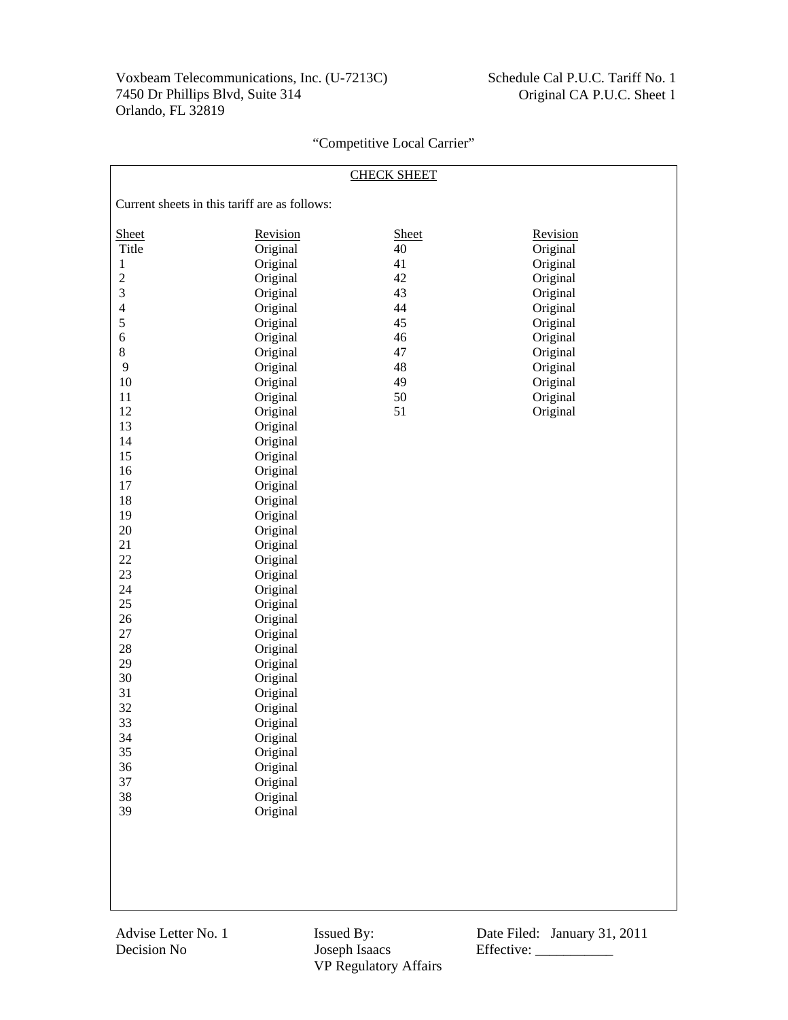| <b>CHECK SHEET</b>                            |          |              |          |
|-----------------------------------------------|----------|--------------|----------|
| Current sheets in this tariff are as follows: |          |              |          |
| Sheet                                         | Revision | <b>Sheet</b> | Revision |
| Title                                         | Original | 40           | Original |
| $\mathbf{1}$                                  | Original | 41           | Original |
| $\sqrt{2}$                                    | Original | 42           | Original |
| $\mathfrak{Z}$                                | Original | 43           | Original |
| $\overline{4}$                                | Original | 44           | Original |
| 5                                             | Original | 45           | Original |
| $\sqrt{6}$                                    | Original | 46           | Original |
| $8\,$                                         | Original | 47           | Original |
| 9                                             | Original | 48           | Original |
| $10\,$                                        | Original | 49           | Original |
| 11                                            | Original | 50           | Original |
| 12                                            | Original | 51           | Original |
| 13                                            | Original |              |          |
| 14                                            | Original |              |          |
| 15                                            | Original |              |          |
| 16                                            | Original |              |          |
| 17                                            | Original |              |          |
| 18                                            | Original |              |          |
| 19                                            | Original |              |          |
| $20\,$                                        | Original |              |          |
| 21                                            | Original |              |          |
| $22\,$                                        | Original |              |          |
| 23                                            | Original |              |          |
| 24                                            | Original |              |          |
| 25                                            | Original |              |          |
| 26                                            | Original |              |          |
| 27                                            | Original |              |          |
| $28\,$                                        | Original |              |          |
| 29                                            | Original |              |          |
| 30                                            | Original |              |          |
| 31                                            | Original |              |          |
| 32                                            | Original |              |          |
| 33                                            | Original |              |          |
| 34                                            | Original |              |          |
| 35                                            | Original |              |          |
| 36                                            | Original |              |          |
| 37                                            | Original |              |          |
| 38                                            | Original |              |          |
| 39                                            | Original |              |          |
|                                               |          |              |          |
|                                               |          |              |          |
|                                               |          |              |          |
|                                               |          |              |          |
|                                               |          |              |          |

VP Regulatory Affairs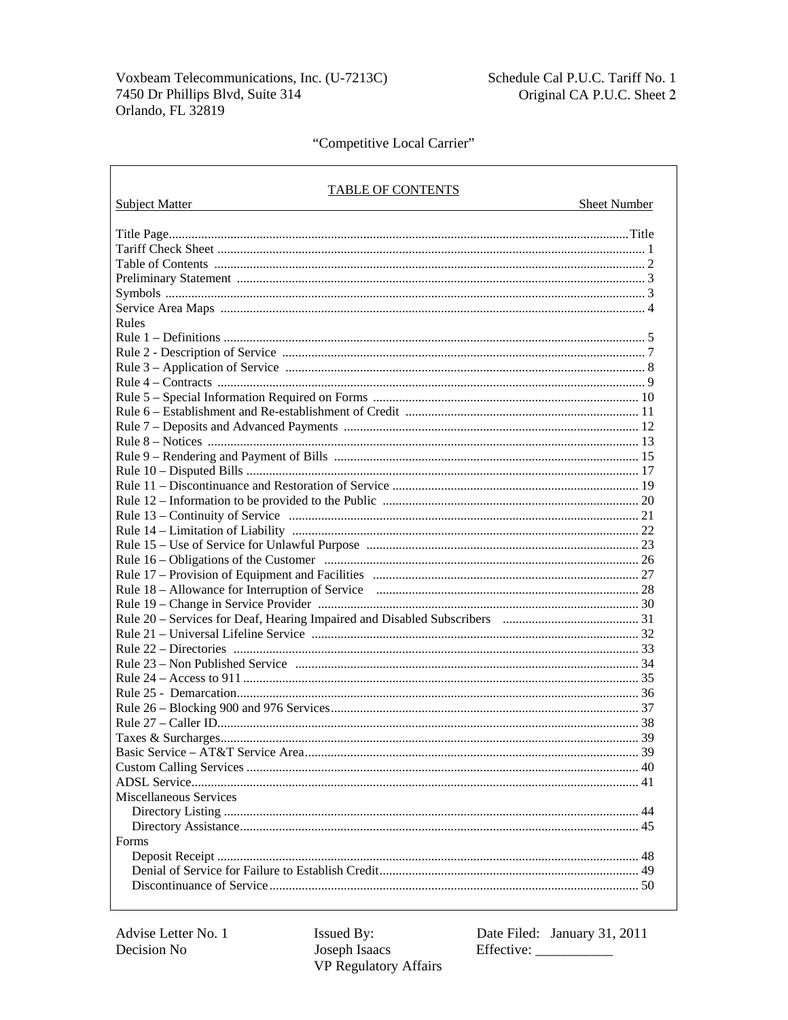$\mathsf{r}$ 

Schedule Cal P.U.C. Tariff No. 1 Original CA P.U.C. Sheet 2

# "Competitive Local Carrier"

| <b>TABLE OF CONTENTS</b>                                                                                                                                                                                                       |                     |
|--------------------------------------------------------------------------------------------------------------------------------------------------------------------------------------------------------------------------------|---------------------|
| <b>Subject Matter</b><br><u> 1980 - Andrea Andrew Maria (h. 1980).</u>                                                                                                                                                         | <b>Sheet Number</b> |
|                                                                                                                                                                                                                                |                     |
|                                                                                                                                                                                                                                |                     |
|                                                                                                                                                                                                                                |                     |
|                                                                                                                                                                                                                                |                     |
|                                                                                                                                                                                                                                |                     |
|                                                                                                                                                                                                                                |                     |
| Rules                                                                                                                                                                                                                          |                     |
|                                                                                                                                                                                                                                |                     |
|                                                                                                                                                                                                                                |                     |
|                                                                                                                                                                                                                                |                     |
|                                                                                                                                                                                                                                |                     |
|                                                                                                                                                                                                                                |                     |
|                                                                                                                                                                                                                                |                     |
|                                                                                                                                                                                                                                |                     |
|                                                                                                                                                                                                                                |                     |
|                                                                                                                                                                                                                                |                     |
|                                                                                                                                                                                                                                |                     |
|                                                                                                                                                                                                                                |                     |
|                                                                                                                                                                                                                                |                     |
|                                                                                                                                                                                                                                |                     |
|                                                                                                                                                                                                                                |                     |
|                                                                                                                                                                                                                                |                     |
|                                                                                                                                                                                                                                |                     |
| Rule 16 – Obligations of the Customer manufactured and the US and the US and the US and the US and the US and the US and the US and the US and the US and the US and the US and the US and the US and the US and the US and th |                     |
|                                                                                                                                                                                                                                |                     |
|                                                                                                                                                                                                                                |                     |
|                                                                                                                                                                                                                                |                     |
|                                                                                                                                                                                                                                |                     |
|                                                                                                                                                                                                                                |                     |
|                                                                                                                                                                                                                                |                     |
|                                                                                                                                                                                                                                |                     |
|                                                                                                                                                                                                                                |                     |
|                                                                                                                                                                                                                                |                     |
|                                                                                                                                                                                                                                |                     |
|                                                                                                                                                                                                                                |                     |
|                                                                                                                                                                                                                                |                     |
|                                                                                                                                                                                                                                |                     |
|                                                                                                                                                                                                                                |                     |
|                                                                                                                                                                                                                                |                     |
| <b>Miscellaneous Services</b>                                                                                                                                                                                                  |                     |
|                                                                                                                                                                                                                                |                     |
|                                                                                                                                                                                                                                |                     |
| Forms                                                                                                                                                                                                                          |                     |
|                                                                                                                                                                                                                                |                     |
|                                                                                                                                                                                                                                |                     |
|                                                                                                                                                                                                                                |                     |
|                                                                                                                                                                                                                                |                     |

Issued By: Joseph Isaacs VP Regulatory Affairs Date Filed: January 31, 2011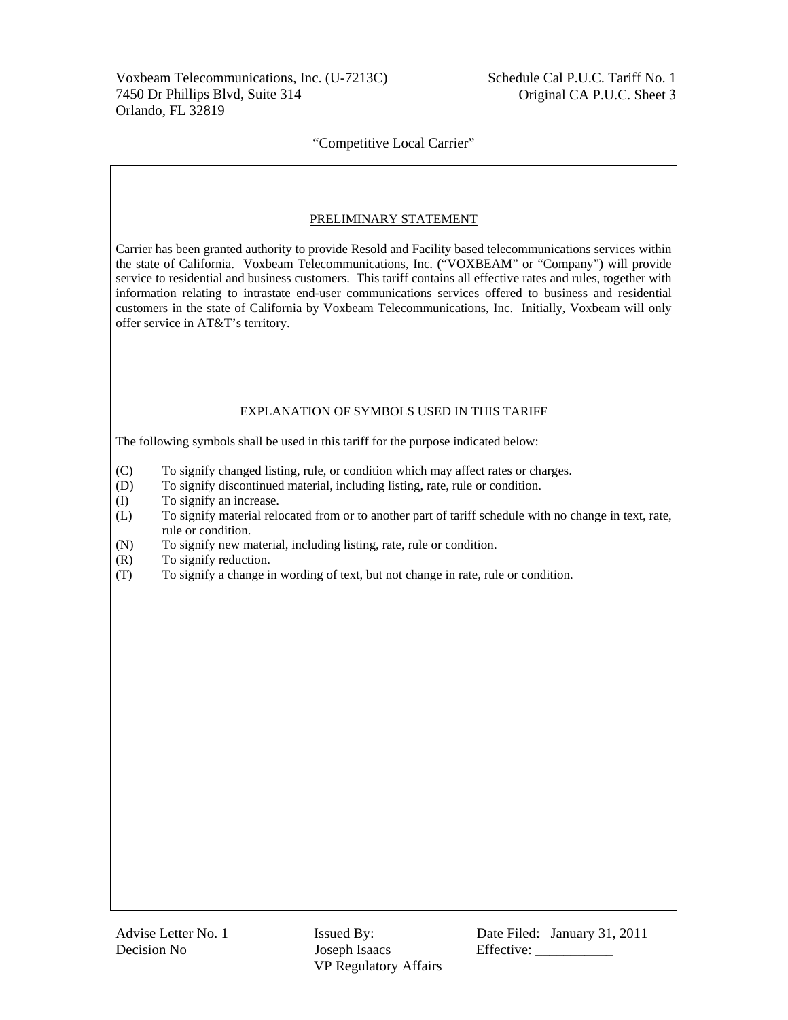# PRELIMINARY STATEMENT

Carrier has been granted authority to provide Resold and Facility based telecommunications services within the state of California. Voxbeam Telecommunications, Inc. ("VOXBEAM" or "Company") will provide service to residential and business customers. This tariff contains all effective rates and rules, together with information relating to intrastate end-user communications services offered to business and residential customers in the state of California by Voxbeam Telecommunications, Inc. Initially, Voxbeam will only offer service in AT&T's territory.

### EXPLANATION OF SYMBOLS USED IN THIS TARIFF

The following symbols shall be used in this tariff for the purpose indicated below:

- (C) To signify changed listing, rule, or condition which may affect rates or charges.
- (D) To signify discontinued material, including listing, rate, rule or condition.
- (I) To signify an increase.
- (L) To signify material relocated from or to another part of tariff schedule with no change in text, rate, rule or condition.
- (N) To signify new material, including listing, rate, rule or condition.
- (R) To signify reduction.
- (T) To signify a change in wording of text, but not change in rate, rule or condition.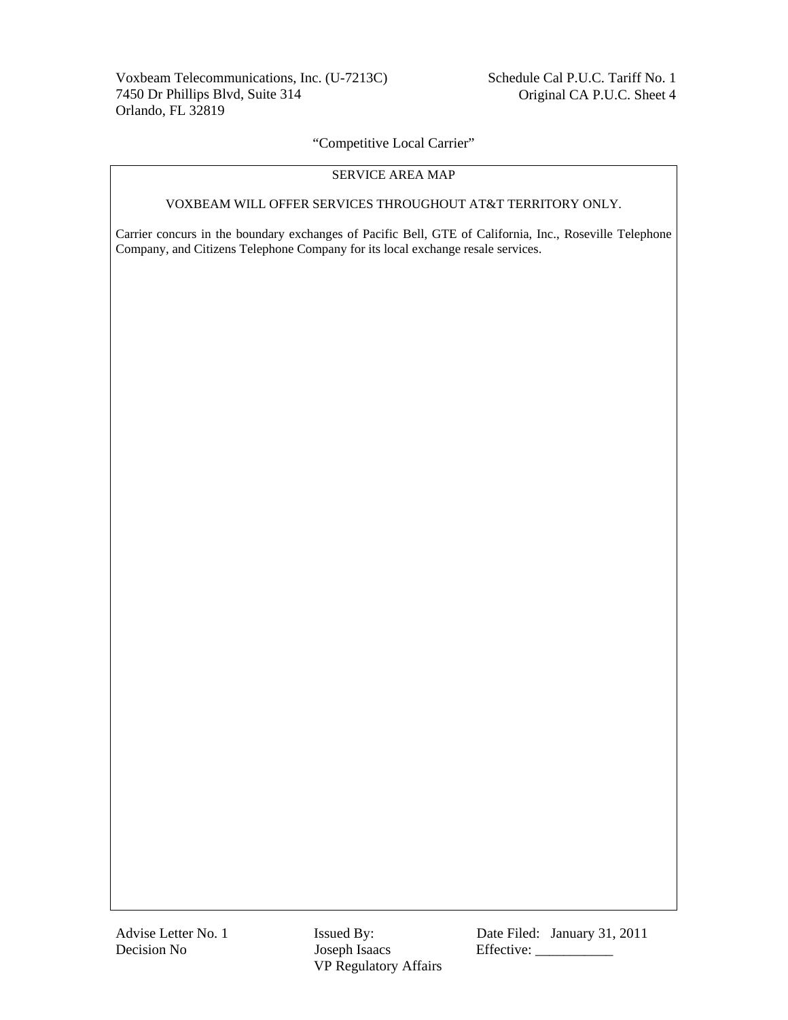# SERVICE AREA MAP

### VOXBEAM WILL OFFER SERVICES THROUGHOUT AT&T TERRITORY ONLY.

Carrier concurs in the boundary exchanges of Pacific Bell, GTE of California, Inc., Roseville Telephone Company, and Citizens Telephone Company for its local exchange resale services.

Advise Letter No. 1 **Issued By:** Date Filed: January 31, 2011 Decision No Joseph Isaacs Effective: \_\_\_\_\_\_\_\_\_\_\_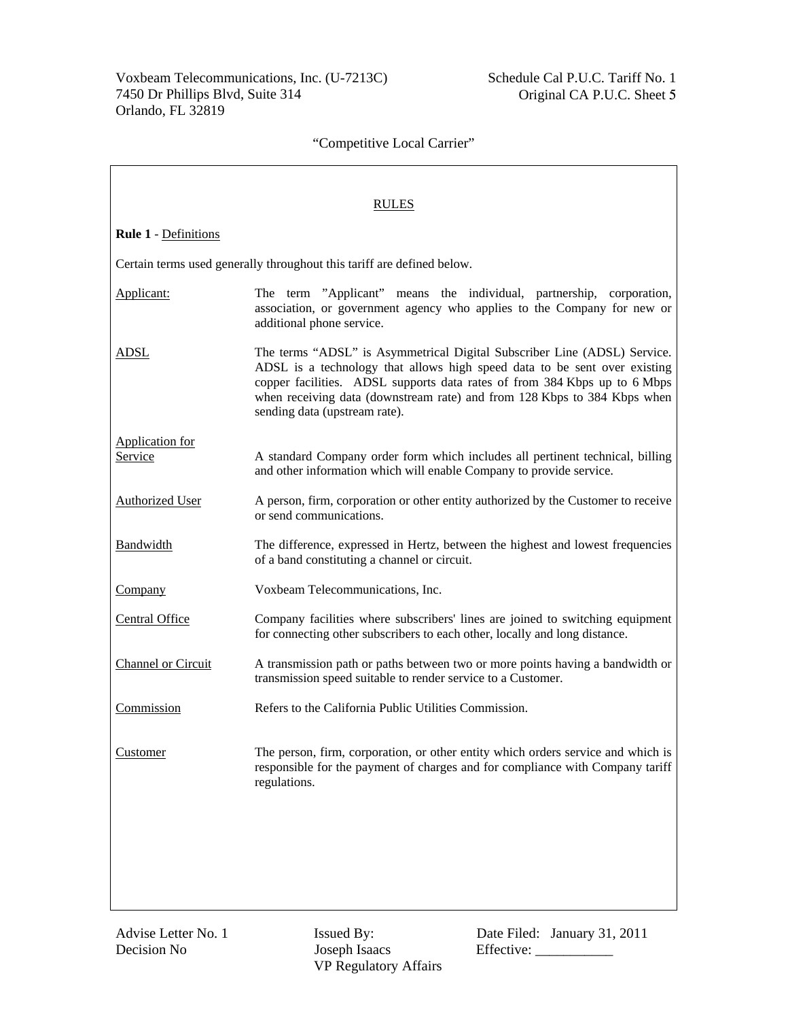|                             | <b>RULES</b>                                                                                                                                                                                                                                                                                                                                    |  |  |
|-----------------------------|-------------------------------------------------------------------------------------------------------------------------------------------------------------------------------------------------------------------------------------------------------------------------------------------------------------------------------------------------|--|--|
| <b>Rule 1 - Definitions</b> |                                                                                                                                                                                                                                                                                                                                                 |  |  |
|                             | Certain terms used generally throughout this tariff are defined below.                                                                                                                                                                                                                                                                          |  |  |
| Applicant:                  | The term "Applicant" means the individual, partnership, corporation,<br>association, or government agency who applies to the Company for new or<br>additional phone service.                                                                                                                                                                    |  |  |
| ADSL                        | The terms "ADSL" is Asymmetrical Digital Subscriber Line (ADSL) Service.<br>ADSL is a technology that allows high speed data to be sent over existing<br>copper facilities. ADSL supports data rates of from 384 Kbps up to 6 Mbps<br>when receiving data (downstream rate) and from 128 Kbps to 384 Kbps when<br>sending data (upstream rate). |  |  |
| <b>Application for</b>      |                                                                                                                                                                                                                                                                                                                                                 |  |  |
| Service                     | A standard Company order form which includes all pertinent technical, billing<br>and other information which will enable Company to provide service.                                                                                                                                                                                            |  |  |
| <b>Authorized User</b>      | A person, firm, corporation or other entity authorized by the Customer to receive<br>or send communications.                                                                                                                                                                                                                                    |  |  |
| Bandwidth                   | The difference, expressed in Hertz, between the highest and lowest frequencies<br>of a band constituting a channel or circuit.                                                                                                                                                                                                                  |  |  |
| <b>Company</b>              | Voxbeam Telecommunications, Inc.                                                                                                                                                                                                                                                                                                                |  |  |
| <b>Central Office</b>       | Company facilities where subscribers' lines are joined to switching equipment<br>for connecting other subscribers to each other, locally and long distance.                                                                                                                                                                                     |  |  |
| <b>Channel or Circuit</b>   | A transmission path or paths between two or more points having a bandwidth or<br>transmission speed suitable to render service to a Customer.                                                                                                                                                                                                   |  |  |
| Commission                  | Refers to the California Public Utilities Commission.                                                                                                                                                                                                                                                                                           |  |  |
| Customer                    | The person, firm, corporation, or other entity which orders service and which is<br>responsible for the payment of charges and for compliance with Company tariff<br>regulations.                                                                                                                                                               |  |  |
|                             |                                                                                                                                                                                                                                                                                                                                                 |  |  |
|                             |                                                                                                                                                                                                                                                                                                                                                 |  |  |
|                             |                                                                                                                                                                                                                                                                                                                                                 |  |  |

VP Regulatory Affairs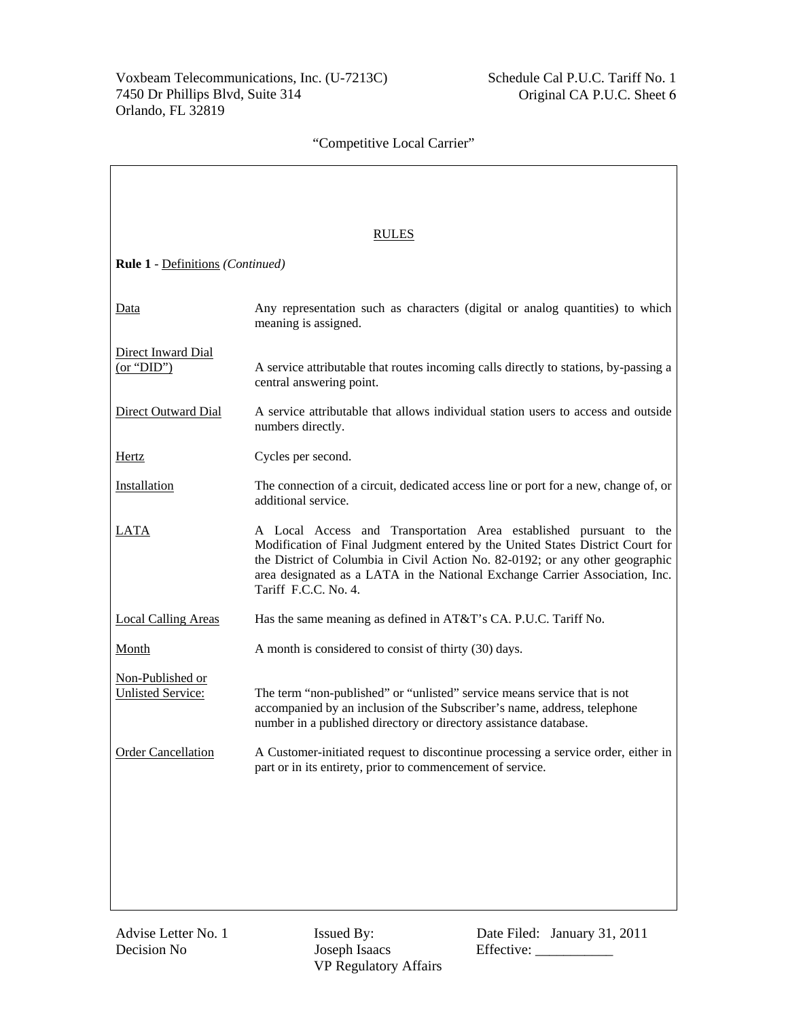|                                              | <b>RULES</b>                                                                                                                                                                                                                                                                                                                                  |
|----------------------------------------------|-----------------------------------------------------------------------------------------------------------------------------------------------------------------------------------------------------------------------------------------------------------------------------------------------------------------------------------------------|
| <b>Rule 1</b> - Definitions (Continued)      |                                                                                                                                                                                                                                                                                                                                               |
| Data                                         | Any representation such as characters (digital or analog quantities) to which<br>meaning is assigned.                                                                                                                                                                                                                                         |
| Direct Inward Dial<br>(or "DID")             | A service attributable that routes incoming calls directly to stations, by-passing a<br>central answering point.                                                                                                                                                                                                                              |
| Direct Outward Dial                          | A service attributable that allows individual station users to access and outside<br>numbers directly.                                                                                                                                                                                                                                        |
| Hertz                                        | Cycles per second.                                                                                                                                                                                                                                                                                                                            |
| Installation                                 | The connection of a circuit, dedicated access line or port for a new, change of, or<br>additional service.                                                                                                                                                                                                                                    |
| LATA                                         | A Local Access and Transportation Area established pursuant to the<br>Modification of Final Judgment entered by the United States District Court for<br>the District of Columbia in Civil Action No. 82-0192; or any other geographic<br>area designated as a LATA in the National Exchange Carrier Association, Inc.<br>Tariff F.C.C. No. 4. |
| <b>Local Calling Areas</b>                   | Has the same meaning as defined in AT&T's CA. P.U.C. Tariff No.                                                                                                                                                                                                                                                                               |
| <b>Month</b>                                 | A month is considered to consist of thirty (30) days.                                                                                                                                                                                                                                                                                         |
| Non-Published or<br><b>Unlisted Service:</b> | The term "non-published" or "unlisted" service means service that is not<br>accompanied by an inclusion of the Subscriber's name, address, telephone<br>number in a published directory or directory assistance database.                                                                                                                     |
| <b>Order Cancellation</b>                    | A Customer-initiated request to discontinue processing a service order, either in<br>part or in its entirety, prior to commencement of service.                                                                                                                                                                                               |
|                                              |                                                                                                                                                                                                                                                                                                                                               |
|                                              |                                                                                                                                                                                                                                                                                                                                               |
|                                              |                                                                                                                                                                                                                                                                                                                                               |
|                                              |                                                                                                                                                                                                                                                                                                                                               |

VP Regulatory Affairs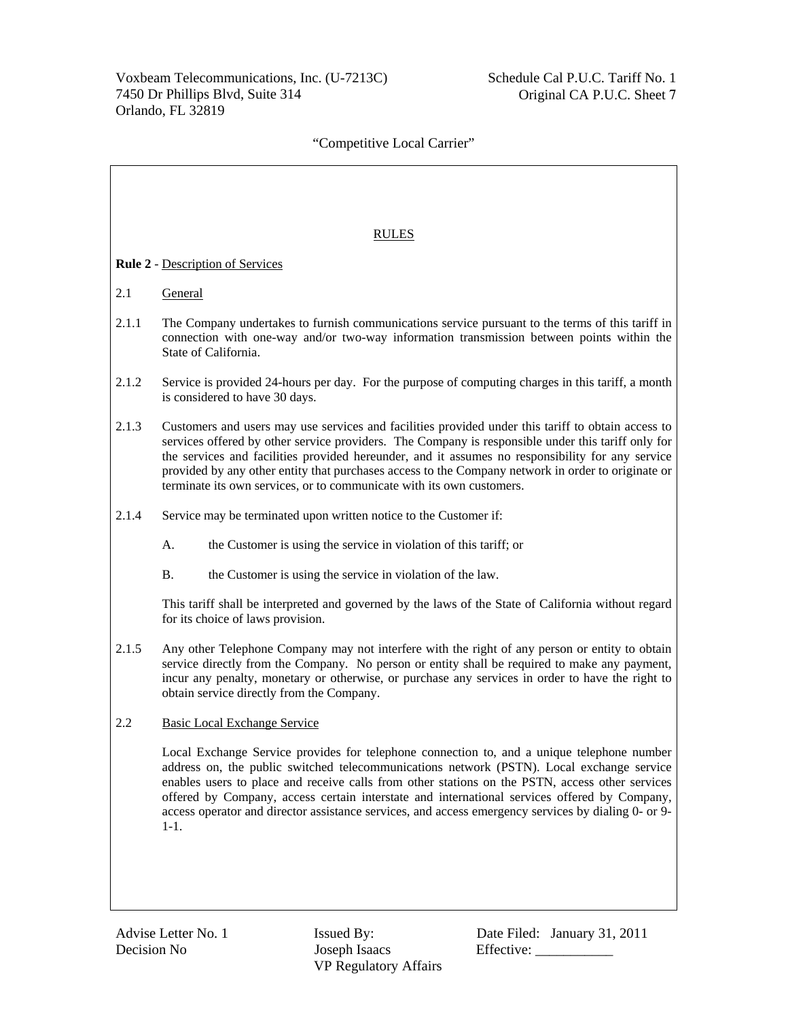|       | <b>RULES</b>                                                                                                                                                                                                                                                                                                                                                                                                                                                                                                |
|-------|-------------------------------------------------------------------------------------------------------------------------------------------------------------------------------------------------------------------------------------------------------------------------------------------------------------------------------------------------------------------------------------------------------------------------------------------------------------------------------------------------------------|
|       | <b>Rule 2 - Description of Services</b>                                                                                                                                                                                                                                                                                                                                                                                                                                                                     |
| 2.1   | General                                                                                                                                                                                                                                                                                                                                                                                                                                                                                                     |
| 2.1.1 | The Company undertakes to furnish communications service pursuant to the terms of this tariff in<br>connection with one-way and/or two-way information transmission between points within the<br>State of California.                                                                                                                                                                                                                                                                                       |
| 2.1.2 | Service is provided 24-hours per day. For the purpose of computing charges in this tariff, a month<br>is considered to have 30 days.                                                                                                                                                                                                                                                                                                                                                                        |
| 2.1.3 | Customers and users may use services and facilities provided under this tariff to obtain access to<br>services offered by other service providers. The Company is responsible under this tariff only for<br>the services and facilities provided hereunder, and it assumes no responsibility for any service<br>provided by any other entity that purchases access to the Company network in order to originate or<br>terminate its own services, or to communicate with its own customers.                 |
| 2.1.4 | Service may be terminated upon written notice to the Customer if:                                                                                                                                                                                                                                                                                                                                                                                                                                           |
|       | A.<br>the Customer is using the service in violation of this tariff; or                                                                                                                                                                                                                                                                                                                                                                                                                                     |
|       | <b>B.</b><br>the Customer is using the service in violation of the law.                                                                                                                                                                                                                                                                                                                                                                                                                                     |
|       | This tariff shall be interpreted and governed by the laws of the State of California without regard<br>for its choice of laws provision.                                                                                                                                                                                                                                                                                                                                                                    |
| 2.1.5 | Any other Telephone Company may not interfere with the right of any person or entity to obtain<br>service directly from the Company. No person or entity shall be required to make any payment,<br>incur any penalty, monetary or otherwise, or purchase any services in order to have the right to<br>obtain service directly from the Company.                                                                                                                                                            |
| 2.2   | <b>Basic Local Exchange Service</b>                                                                                                                                                                                                                                                                                                                                                                                                                                                                         |
|       | Local Exchange Service provides for telephone connection to, and a unique telephone number<br>address on, the public switched telecommunications network (PSTN). Local exchange service<br>enables users to place and receive calls from other stations on the PSTN, access other services<br>offered by Company, access certain interstate and international services offered by Company,<br>access operator and director assistance services, and access emergency services by dialing 0- or 9-<br>$1-1.$ |
|       |                                                                                                                                                                                                                                                                                                                                                                                                                                                                                                             |

VP Regulatory Affairs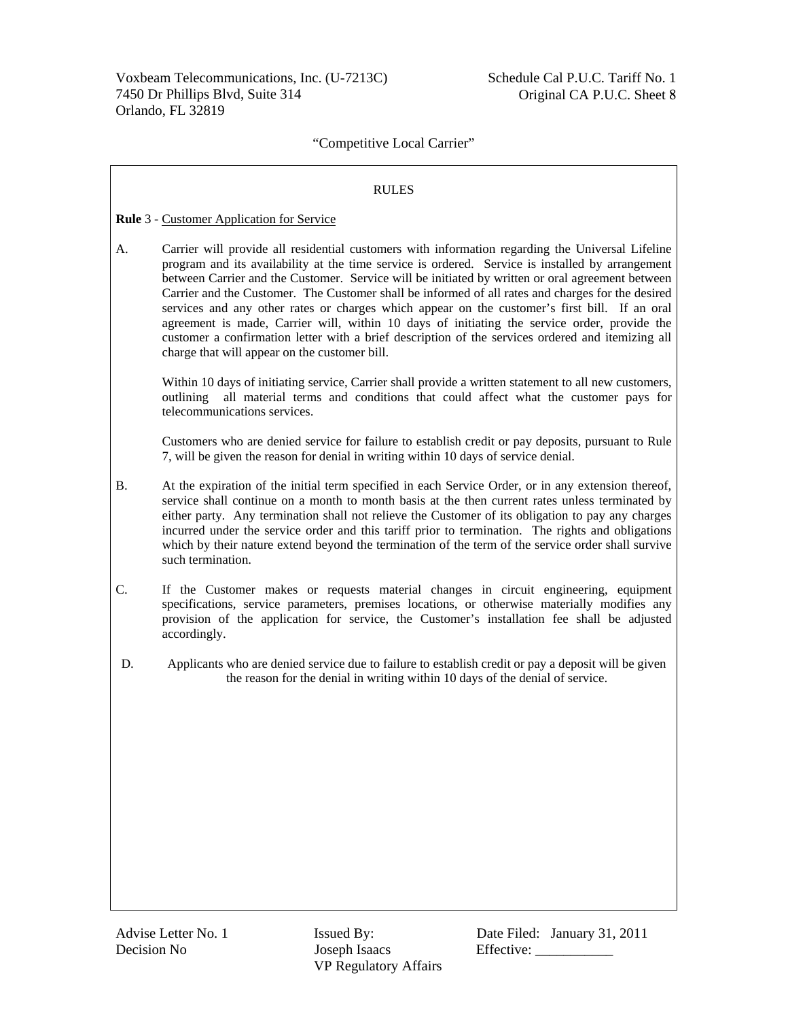### RULES

### **Rule** 3 - Customer Application for Service

A. Carrier will provide all residential customers with information regarding the Universal Lifeline program and its availability at the time service is ordered. Service is installed by arrangement between Carrier and the Customer. Service will be initiated by written or oral agreement between Carrier and the Customer. The Customer shall be informed of all rates and charges for the desired services and any other rates or charges which appear on the customer's first bill. If an oral agreement is made, Carrier will, within 10 days of initiating the service order, provide the customer a confirmation letter with a brief description of the services ordered and itemizing all charge that will appear on the customer bill.

Within 10 days of initiating service, Carrier shall provide a written statement to all new customers, outlining all material terms and conditions that could affect what the customer pays for telecommunications services.

Customers who are denied service for failure to establish credit or pay deposits, pursuant to Rule 7, will be given the reason for denial in writing within 10 days of service denial.

- B. At the expiration of the initial term specified in each Service Order, or in any extension thereof, service shall continue on a month to month basis at the then current rates unless terminated by either party. Any termination shall not relieve the Customer of its obligation to pay any charges incurred under the service order and this tariff prior to termination. The rights and obligations which by their nature extend beyond the termination of the term of the service order shall survive such termination.
- C. If the Customer makes or requests material changes in circuit engineering, equipment specifications, service parameters, premises locations, or otherwise materially modifies any provision of the application for service, the Customer's installation fee shall be adjusted accordingly.
- D. Applicants who are denied service due to failure to establish credit or pay a deposit will be given the reason for the denial in writing within 10 days of the denial of service.

Decision No Joseph Isaacs Effective: VP Regulatory Affairs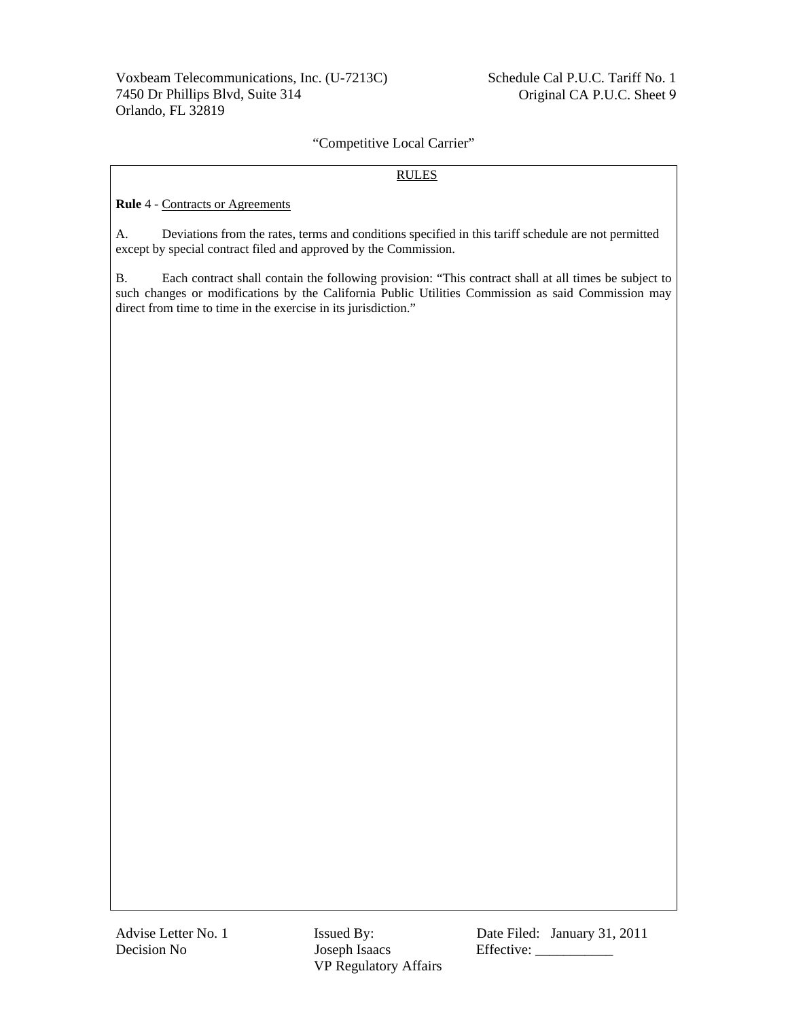## RULES

**Rule** 4 - Contracts or Agreements

A. Deviations from the rates, terms and conditions specified in this tariff schedule are not permitted except by special contract filed and approved by the Commission.

B. Each contract shall contain the following provision: "This contract shall at all times be subject to such changes or modifications by the California Public Utilities Commission as said Commission may direct from time to time in the exercise in its jurisdiction."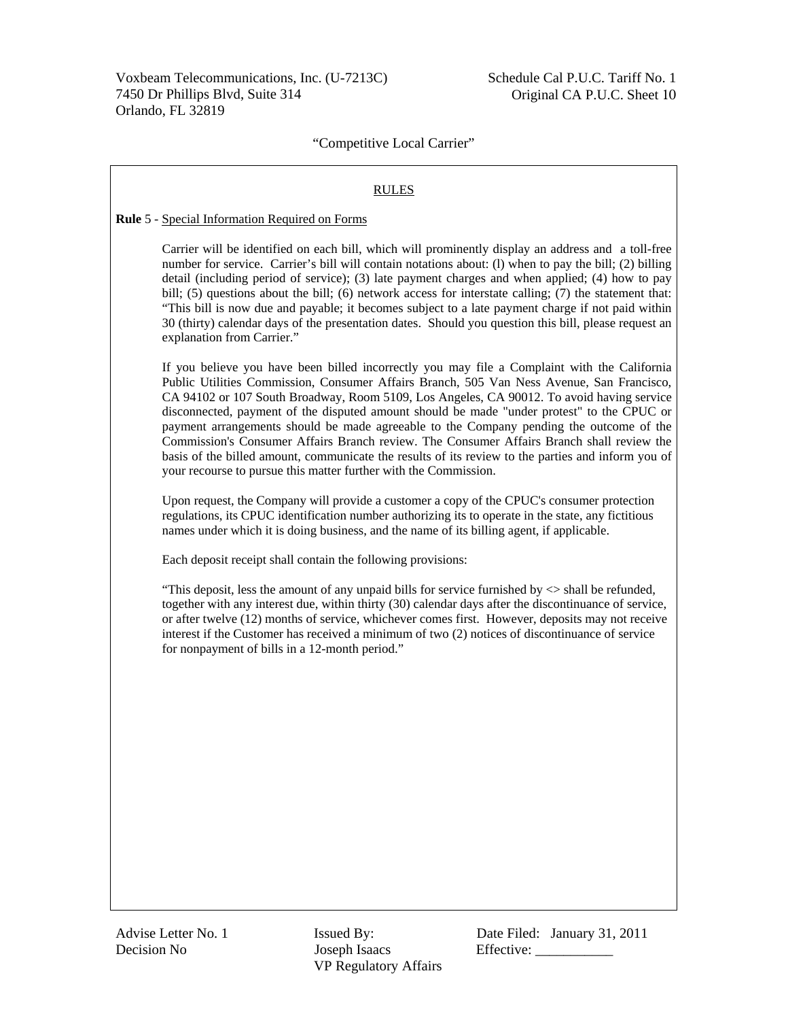#### RULES

#### **Rule** 5 - Special Information Required on Forms

Carrier will be identified on each bill, which will prominently display an address and a toll-free number for service. Carrier's bill will contain notations about: (l) when to pay the bill; (2) billing detail (including period of service); (3) late payment charges and when applied; (4) how to pay bill; (5) questions about the bill; (6) network access for interstate calling; (7) the statement that: "This bill is now due and payable; it becomes subject to a late payment charge if not paid within 30 (thirty) calendar days of the presentation dates. Should you question this bill, please request an explanation from Carrier."

If you believe you have been billed incorrectly you may file a Complaint with the California Public Utilities Commission, Consumer Affairs Branch, 505 Van Ness Avenue, San Francisco, CA 94102 or 107 South Broadway, Room 5109, Los Angeles, CA 90012. To avoid having service disconnected, payment of the disputed amount should be made "under protest" to the CPUC or payment arrangements should be made agreeable to the Company pending the outcome of the Commission's Consumer Affairs Branch review. The Consumer Affairs Branch shall review the basis of the billed amount, communicate the results of its review to the parties and inform you of your recourse to pursue this matter further with the Commission.

Upon request, the Company will provide a customer a copy of the CPUC's consumer protection regulations, its CPUC identification number authorizing its to operate in the state, any fictitious names under which it is doing business, and the name of its billing agent, if applicable.

Each deposit receipt shall contain the following provisions:

"This deposit, less the amount of any unpaid bills for service furnished by  $\le$  shall be refunded, together with any interest due, within thirty (30) calendar days after the discontinuance of service, or after twelve (12) months of service, whichever comes first. However, deposits may not receive interest if the Customer has received a minimum of two (2) notices of discontinuance of service for nonpayment of bills in a 12-month period."

Decision No Joseph Isaacs Effective: \_\_\_\_\_\_\_\_\_\_\_ VP Regulatory Affairs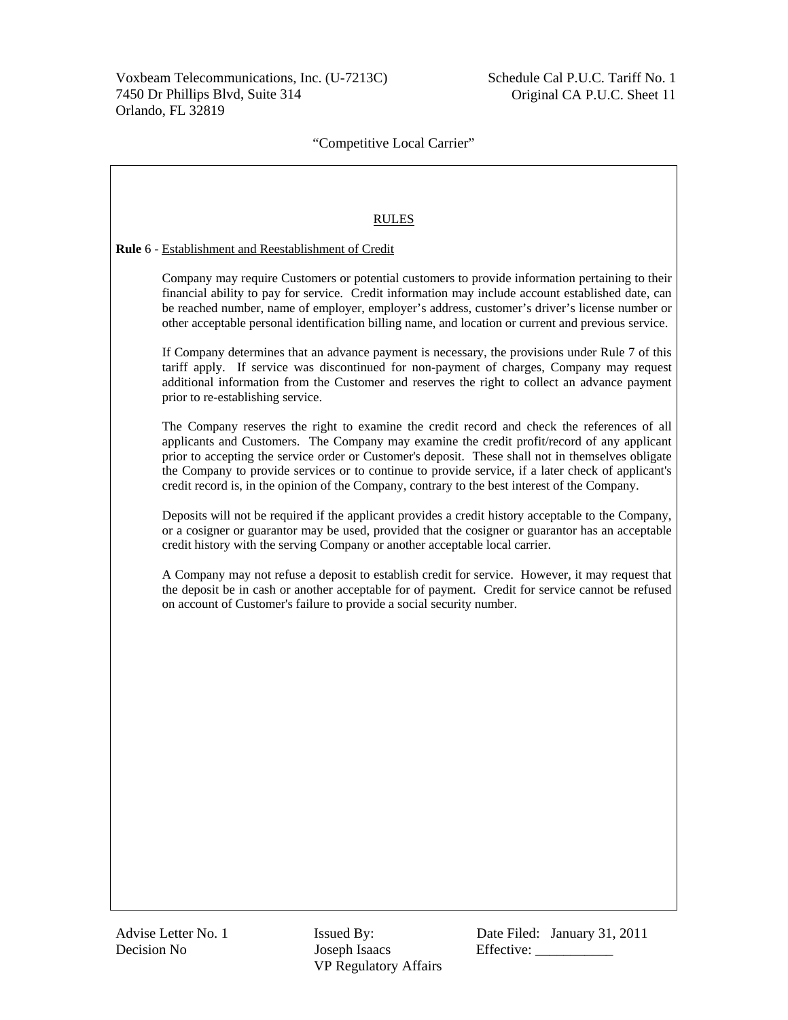$\overline{\mathbf{1}}$ 

# "Competitive Local Carrier"

| <b>RULES</b>                                                                                                                                                                                                                                                                                                                                                                                                                                                                                             |
|----------------------------------------------------------------------------------------------------------------------------------------------------------------------------------------------------------------------------------------------------------------------------------------------------------------------------------------------------------------------------------------------------------------------------------------------------------------------------------------------------------|
| Rule 6 - Establishment and Reestablishment of Credit                                                                                                                                                                                                                                                                                                                                                                                                                                                     |
| Company may require Customers or potential customers to provide information pertaining to their<br>financial ability to pay for service. Credit information may include account established date, can<br>be reached number, name of employer, employer's address, customer's driver's license number or<br>other acceptable personal identification billing name, and location or current and previous service.                                                                                          |
| If Company determines that an advance payment is necessary, the provisions under Rule 7 of this<br>tariff apply. If service was discontinued for non-payment of charges, Company may request<br>additional information from the Customer and reserves the right to collect an advance payment<br>prior to re-establishing service.                                                                                                                                                                       |
| The Company reserves the right to examine the credit record and check the references of all<br>applicants and Customers. The Company may examine the credit profit/record of any applicant<br>prior to accepting the service order or Customer's deposit. These shall not in themselves obligate<br>the Company to provide services or to continue to provide service, if a later check of applicant's<br>credit record is, in the opinion of the Company, contrary to the best interest of the Company. |
| Deposits will not be required if the applicant provides a credit history acceptable to the Company,<br>or a cosigner or guarantor may be used, provided that the cosigner or guarantor has an acceptable<br>credit history with the serving Company or another acceptable local carrier.                                                                                                                                                                                                                 |
| A Company may not refuse a deposit to establish credit for service. However, it may request that<br>the deposit be in cash or another acceptable for of payment. Credit for service cannot be refused<br>on account of Customer's failure to provide a social security number.                                                                                                                                                                                                                           |
|                                                                                                                                                                                                                                                                                                                                                                                                                                                                                                          |
|                                                                                                                                                                                                                                                                                                                                                                                                                                                                                                          |
|                                                                                                                                                                                                                                                                                                                                                                                                                                                                                                          |
|                                                                                                                                                                                                                                                                                                                                                                                                                                                                                                          |
|                                                                                                                                                                                                                                                                                                                                                                                                                                                                                                          |
|                                                                                                                                                                                                                                                                                                                                                                                                                                                                                                          |
|                                                                                                                                                                                                                                                                                                                                                                                                                                                                                                          |
|                                                                                                                                                                                                                                                                                                                                                                                                                                                                                                          |
|                                                                                                                                                                                                                                                                                                                                                                                                                                                                                                          |
|                                                                                                                                                                                                                                                                                                                                                                                                                                                                                                          |

VP Regulatory Affairs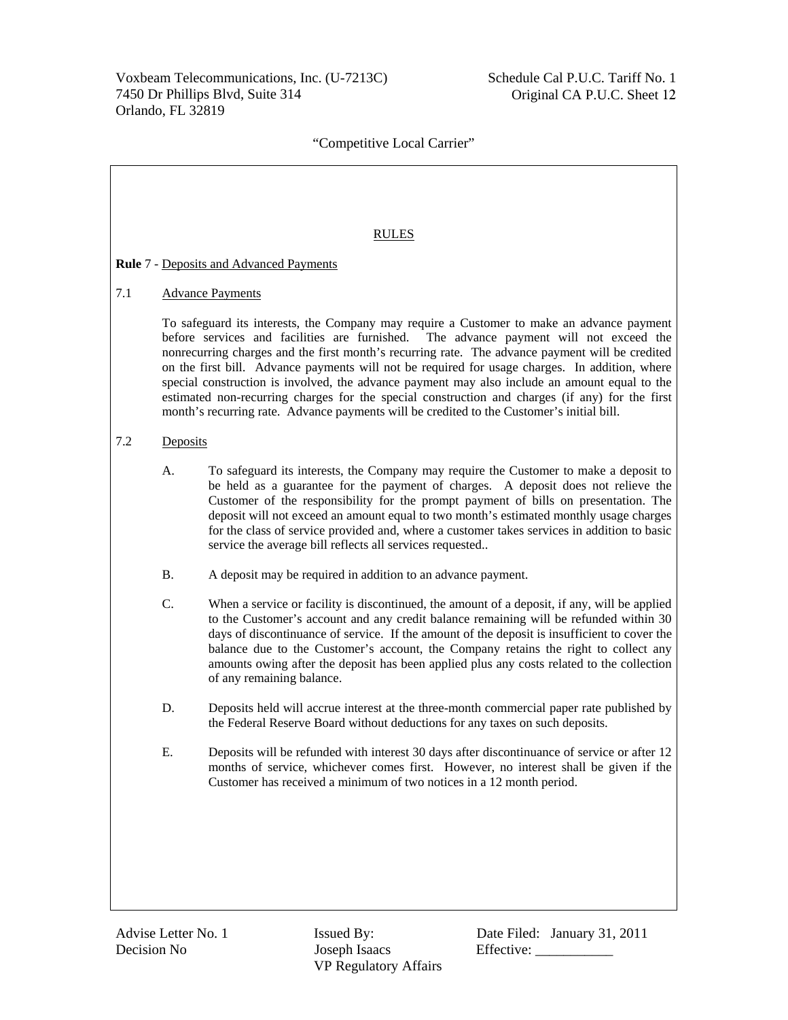### RULES

## **Rule** 7 - Deposits and Advanced Payments

## 7.1 Advance Payments

To safeguard its interests, the Company may require a Customer to make an advance payment before services and facilities are furnished. The advance payment will not exceed the nonrecurring charges and the first month's recurring rate. The advance payment will be credited on the first bill. Advance payments will not be required for usage charges. In addition, where special construction is involved, the advance payment may also include an amount equal to the estimated non-recurring charges for the special construction and charges (if any) for the first month's recurring rate. Advance payments will be credited to the Customer's initial bill.

# 7.2 Deposits

- A. To safeguard its interests, the Company may require the Customer to make a deposit to be held as a guarantee for the payment of charges. A deposit does not relieve the Customer of the responsibility for the prompt payment of bills on presentation. The deposit will not exceed an amount equal to two month's estimated monthly usage charges for the class of service provided and, where a customer takes services in addition to basic service the average bill reflects all services requested..
- B. A deposit may be required in addition to an advance payment.
- C. When a service or facility is discontinued, the amount of a deposit, if any, will be applied to the Customer's account and any credit balance remaining will be refunded within 30 days of discontinuance of service. If the amount of the deposit is insufficient to cover the balance due to the Customer's account, the Company retains the right to collect any amounts owing after the deposit has been applied plus any costs related to the collection of any remaining balance.
- D. Deposits held will accrue interest at the three-month commercial paper rate published by the Federal Reserve Board without deductions for any taxes on such deposits.
- E. Deposits will be refunded with interest 30 days after discontinuance of service or after 12 months of service, whichever comes first. However, no interest shall be given if the Customer has received a minimum of two notices in a 12 month period.

Decision No Joseph Isaacs Effective: \_\_\_\_\_\_\_\_\_\_\_ VP Regulatory Affairs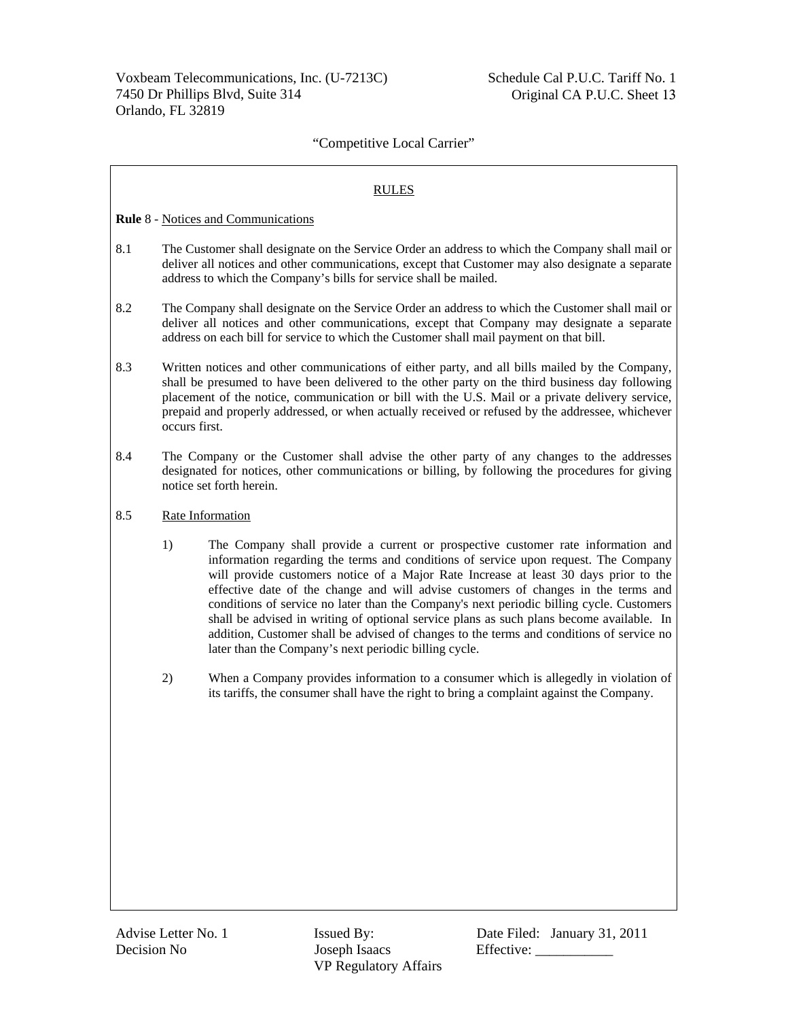## RULES

**Rule** 8 - Notices and Communications

- 8.1 The Customer shall designate on the Service Order an address to which the Company shall mail or deliver all notices and other communications, except that Customer may also designate a separate address to which the Company's bills for service shall be mailed.
- 8.2 The Company shall designate on the Service Order an address to which the Customer shall mail or deliver all notices and other communications, except that Company may designate a separate address on each bill for service to which the Customer shall mail payment on that bill.
- 8.3 Written notices and other communications of either party, and all bills mailed by the Company, shall be presumed to have been delivered to the other party on the third business day following placement of the notice, communication or bill with the U.S. Mail or a private delivery service, prepaid and properly addressed, or when actually received or refused by the addressee, whichever occurs first.
- 8.4 The Company or the Customer shall advise the other party of any changes to the addresses designated for notices, other communications or billing, by following the procedures for giving notice set forth herein.
- 8.5 Rate Information
	- 1) The Company shall provide a current or prospective customer rate information and information regarding the terms and conditions of service upon request. The Company will provide customers notice of a Major Rate Increase at least 30 days prior to the effective date of the change and will advise customers of changes in the terms and conditions of service no later than the Company's next periodic billing cycle. Customers shall be advised in writing of optional service plans as such plans become available. In addition, Customer shall be advised of changes to the terms and conditions of service no later than the Company's next periodic billing cycle.
	- 2) When a Company provides information to a consumer which is allegedly in violation of its tariffs, the consumer shall have the right to bring a complaint against the Company.

Decision No Joseph Isaacs Effective: \_\_\_\_\_\_\_\_\_\_\_ VP Regulatory Affairs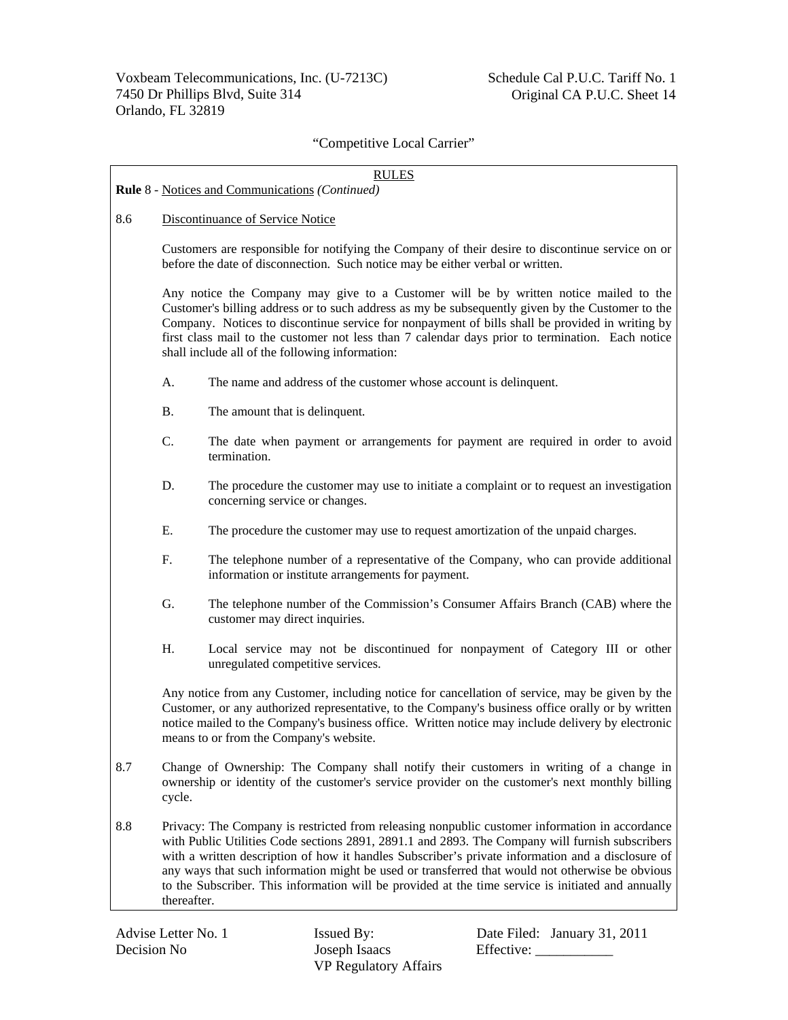| <b>RULES</b>                                           |                                                                                                                                                                                                                                                                                                                                                                                                                                                                                                                                |                                                                                                                                                                                                                                                                                                                                                      |  |  |
|--------------------------------------------------------|--------------------------------------------------------------------------------------------------------------------------------------------------------------------------------------------------------------------------------------------------------------------------------------------------------------------------------------------------------------------------------------------------------------------------------------------------------------------------------------------------------------------------------|------------------------------------------------------------------------------------------------------------------------------------------------------------------------------------------------------------------------------------------------------------------------------------------------------------------------------------------------------|--|--|
| <b>Rule 8 - Notices and Communications (Continued)</b> |                                                                                                                                                                                                                                                                                                                                                                                                                                                                                                                                |                                                                                                                                                                                                                                                                                                                                                      |  |  |
| 8.6                                                    | Discontinuance of Service Notice                                                                                                                                                                                                                                                                                                                                                                                                                                                                                               |                                                                                                                                                                                                                                                                                                                                                      |  |  |
|                                                        |                                                                                                                                                                                                                                                                                                                                                                                                                                                                                                                                | Customers are responsible for notifying the Company of their desire to discontinue service on or<br>before the date of disconnection. Such notice may be either verbal or written.                                                                                                                                                                   |  |  |
|                                                        | Any notice the Company may give to a Customer will be by written notice mailed to the<br>Customer's billing address or to such address as my be subsequently given by the Customer to the<br>Company. Notices to discontinue service for nonpayment of bills shall be provided in writing by<br>first class mail to the customer not less than 7 calendar days prior to termination. Each notice<br>shall include all of the following information:                                                                            |                                                                                                                                                                                                                                                                                                                                                      |  |  |
|                                                        | A.                                                                                                                                                                                                                                                                                                                                                                                                                                                                                                                             | The name and address of the customer whose account is delinquent.                                                                                                                                                                                                                                                                                    |  |  |
|                                                        | <b>B.</b>                                                                                                                                                                                                                                                                                                                                                                                                                                                                                                                      | The amount that is delinquent.                                                                                                                                                                                                                                                                                                                       |  |  |
|                                                        | C.                                                                                                                                                                                                                                                                                                                                                                                                                                                                                                                             | The date when payment or arrangements for payment are required in order to avoid<br>termination.                                                                                                                                                                                                                                                     |  |  |
|                                                        | D.<br>The procedure the customer may use to initiate a complaint or to request an investigation<br>concerning service or changes.                                                                                                                                                                                                                                                                                                                                                                                              |                                                                                                                                                                                                                                                                                                                                                      |  |  |
|                                                        | Е.<br>The procedure the customer may use to request amortization of the unpaid charges.                                                                                                                                                                                                                                                                                                                                                                                                                                        |                                                                                                                                                                                                                                                                                                                                                      |  |  |
|                                                        | F.                                                                                                                                                                                                                                                                                                                                                                                                                                                                                                                             | The telephone number of a representative of the Company, who can provide additional<br>information or institute arrangements for payment.                                                                                                                                                                                                            |  |  |
|                                                        | G.                                                                                                                                                                                                                                                                                                                                                                                                                                                                                                                             | The telephone number of the Commission's Consumer Affairs Branch (CAB) where the<br>customer may direct inquiries.                                                                                                                                                                                                                                   |  |  |
|                                                        | H.                                                                                                                                                                                                                                                                                                                                                                                                                                                                                                                             | Local service may not be discontinued for nonpayment of Category III or other<br>unregulated competitive services.                                                                                                                                                                                                                                   |  |  |
|                                                        |                                                                                                                                                                                                                                                                                                                                                                                                                                                                                                                                | Any notice from any Customer, including notice for cancellation of service, may be given by the<br>Customer, or any authorized representative, to the Company's business office orally or by written<br>notice mailed to the Company's business office. Written notice may include delivery by electronic<br>means to or from the Company's website. |  |  |
| 8.7                                                    | Change of Ownership: The Company shall notify their customers in writing of a change in<br>ownership or identity of the customer's service provider on the customer's next monthly billing<br>cycle.                                                                                                                                                                                                                                                                                                                           |                                                                                                                                                                                                                                                                                                                                                      |  |  |
| 8.8                                                    | Privacy: The Company is restricted from releasing nonpublic customer information in accordance<br>with Public Utilities Code sections 2891, 2891.1 and 2893. The Company will furnish subscribers<br>with a written description of how it handles Subscriber's private information and a disclosure of<br>any ways that such information might be used or transferred that would not otherwise be obvious<br>to the Subscriber. This information will be provided at the time service is initiated and annually<br>thereafter. |                                                                                                                                                                                                                                                                                                                                                      |  |  |

VP Regulatory Affairs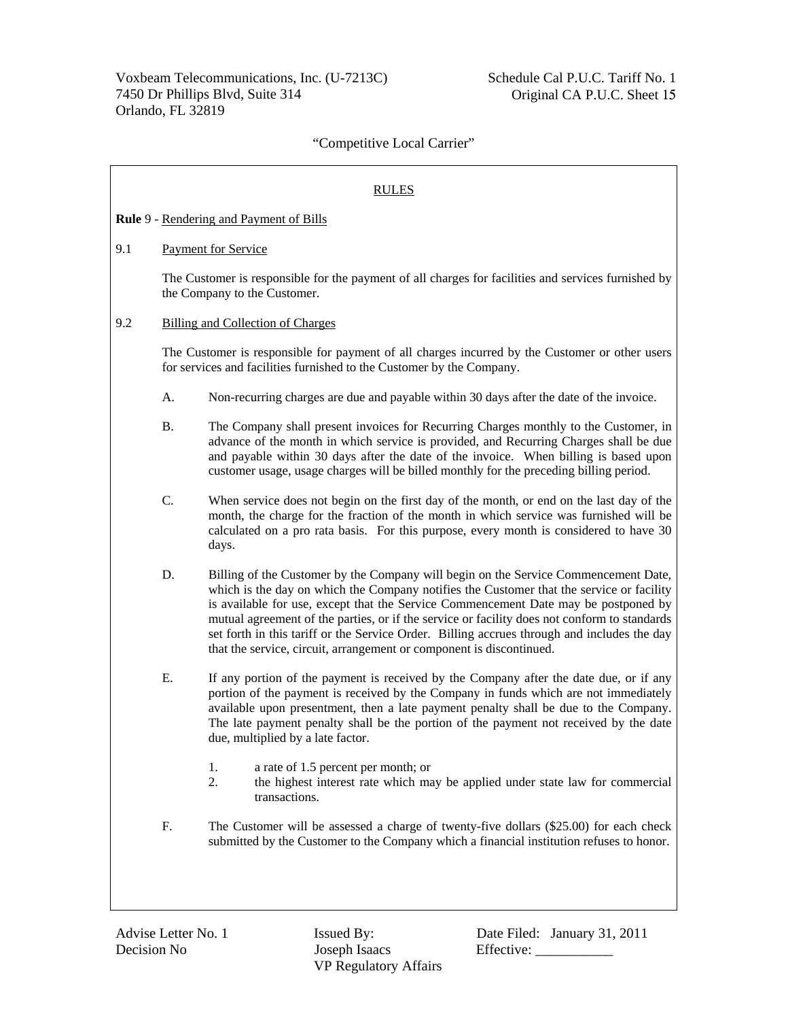|     |                                                                                                                                     | <b>RULES</b>                                                                                                                                                                                                                                                                                                                                                                                                                                                                                                                                  |  |
|-----|-------------------------------------------------------------------------------------------------------------------------------------|-----------------------------------------------------------------------------------------------------------------------------------------------------------------------------------------------------------------------------------------------------------------------------------------------------------------------------------------------------------------------------------------------------------------------------------------------------------------------------------------------------------------------------------------------|--|
|     |                                                                                                                                     | Rule 9 - Rendering and Payment of Bills                                                                                                                                                                                                                                                                                                                                                                                                                                                                                                       |  |
| 9.1 | Payment for Service                                                                                                                 |                                                                                                                                                                                                                                                                                                                                                                                                                                                                                                                                               |  |
|     | The Customer is responsible for the payment of all charges for facilities and services furnished by<br>the Company to the Customer. |                                                                                                                                                                                                                                                                                                                                                                                                                                                                                                                                               |  |
| 9.2 | <b>Billing and Collection of Charges</b>                                                                                            |                                                                                                                                                                                                                                                                                                                                                                                                                                                                                                                                               |  |
|     |                                                                                                                                     | The Customer is responsible for payment of all charges incurred by the Customer or other users<br>for services and facilities furnished to the Customer by the Company.                                                                                                                                                                                                                                                                                                                                                                       |  |
|     | A.                                                                                                                                  | Non-recurring charges are due and payable within 30 days after the date of the invoice.                                                                                                                                                                                                                                                                                                                                                                                                                                                       |  |
|     | <b>B.</b>                                                                                                                           | The Company shall present invoices for Recurring Charges monthly to the Customer, in<br>advance of the month in which service is provided, and Recurring Charges shall be due<br>and payable within 30 days after the date of the invoice. When billing is based upon<br>customer usage, usage charges will be billed monthly for the preceding billing period.                                                                                                                                                                               |  |
|     | C.                                                                                                                                  | When service does not begin on the first day of the month, or end on the last day of the<br>month, the charge for the fraction of the month in which service was furnished will be<br>calculated on a pro rata basis. For this purpose, every month is considered to have 30<br>days.                                                                                                                                                                                                                                                         |  |
|     | D.                                                                                                                                  | Billing of the Customer by the Company will begin on the Service Commencement Date,<br>which is the day on which the Company notifies the Customer that the service or facility<br>is available for use, except that the Service Commencement Date may be postponed by<br>mutual agreement of the parties, or if the service or facility does not conform to standards<br>set forth in this tariff or the Service Order. Billing accrues through and includes the day<br>that the service, circuit, arrangement or component is discontinued. |  |
| Ε.  |                                                                                                                                     | If any portion of the payment is received by the Company after the date due, or if any<br>portion of the payment is received by the Company in funds which are not immediately<br>available upon presentment, then a late payment penalty shall be due to the Company.<br>The late payment penalty shall be the portion of the payment not received by the date<br>due, multiplied by a late factor.                                                                                                                                          |  |
|     |                                                                                                                                     | 1.<br>a rate of 1.5 percent per month; or<br>2.<br>the highest interest rate which may be applied under state law for commercial<br>transactions.                                                                                                                                                                                                                                                                                                                                                                                             |  |
|     | F.                                                                                                                                  | The Customer will be assessed a charge of twenty-five dollars (\$25.00) for each check<br>submitted by the Customer to the Company which a financial institution refuses to honor.                                                                                                                                                                                                                                                                                                                                                            |  |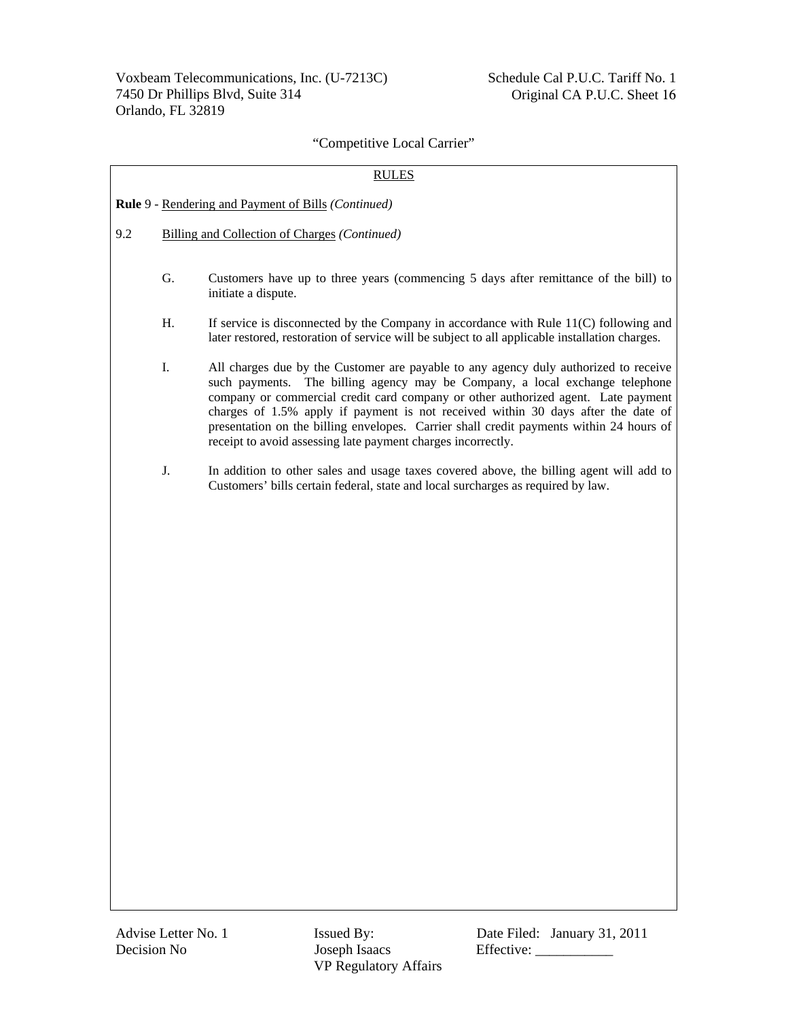| <b>RULES</b> |                                               |                                                                                                                                                                                                                                                                                                                                                                                                                                                                                                           |  |
|--------------|-----------------------------------------------|-----------------------------------------------------------------------------------------------------------------------------------------------------------------------------------------------------------------------------------------------------------------------------------------------------------------------------------------------------------------------------------------------------------------------------------------------------------------------------------------------------------|--|
|              |                                               | Rule 9 - Rendering and Payment of Bills (Continued)                                                                                                                                                                                                                                                                                                                                                                                                                                                       |  |
| 9.2          | Billing and Collection of Charges (Continued) |                                                                                                                                                                                                                                                                                                                                                                                                                                                                                                           |  |
|              | G.                                            | Customers have up to three years (commencing 5 days after remittance of the bill) to<br>initiate a dispute.                                                                                                                                                                                                                                                                                                                                                                                               |  |
|              | Η.                                            | If service is disconnected by the Company in accordance with Rule $11(C)$ following and<br>later restored, restoration of service will be subject to all applicable installation charges.                                                                                                                                                                                                                                                                                                                 |  |
|              | I.                                            | All charges due by the Customer are payable to any agency duly authorized to receive<br>such payments. The billing agency may be Company, a local exchange telephone<br>company or commercial credit card company or other authorized agent. Late payment<br>charges of 1.5% apply if payment is not received within 30 days after the date of<br>presentation on the billing envelopes. Carrier shall credit payments within 24 hours of<br>receipt to avoid assessing late payment charges incorrectly. |  |
|              | J.                                            | In addition to other sales and usage taxes covered above, the billing agent will add to<br>Customers' bills certain federal, state and local surcharges as required by law.                                                                                                                                                                                                                                                                                                                               |  |
|              |                                               |                                                                                                                                                                                                                                                                                                                                                                                                                                                                                                           |  |

VP Regulatory Affairs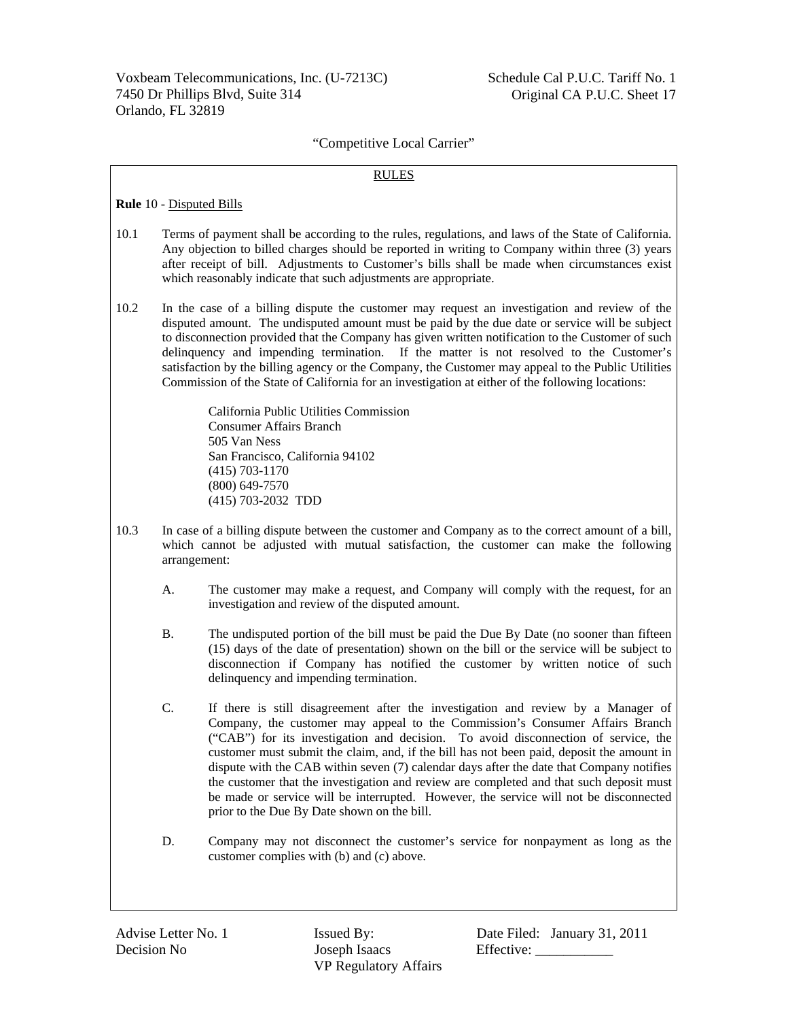#### RULES

**Rule** 10 - Disputed Bills

- 10.1 Terms of payment shall be according to the rules, regulations, and laws of the State of California. Any objection to billed charges should be reported in writing to Company within three (3) years after receipt of bill. Adjustments to Customer's bills shall be made when circumstances exist which reasonably indicate that such adjustments are appropriate.
- 10.2 In the case of a billing dispute the customer may request an investigation and review of the disputed amount. The undisputed amount must be paid by the due date or service will be subject to disconnection provided that the Company has given written notification to the Customer of such delinquency and impending termination. If the matter is not resolved to the Customer's satisfaction by the billing agency or the Company, the Customer may appeal to the Public Utilities Commission of the State of California for an investigation at either of the following locations:

 California Public Utilities Commission Consumer Affairs Branch 505 Van Ness San Francisco, California 94102 (415) 703-1170 (800) 649-7570 (415) 703-2032 TDD

- 10.3 In case of a billing dispute between the customer and Company as to the correct amount of a bill, which cannot be adjusted with mutual satisfaction, the customer can make the following arrangement:
	- A. The customer may make a request, and Company will comply with the request, for an investigation and review of the disputed amount.
	- B. The undisputed portion of the bill must be paid the Due By Date (no sooner than fifteen (15) days of the date of presentation) shown on the bill or the service will be subject to disconnection if Company has notified the customer by written notice of such delinquency and impending termination.
	- C. If there is still disagreement after the investigation and review by a Manager of Company, the customer may appeal to the Commission's Consumer Affairs Branch ("CAB") for its investigation and decision. To avoid disconnection of service, the customer must submit the claim, and, if the bill has not been paid, deposit the amount in dispute with the CAB within seven (7) calendar days after the date that Company notifies the customer that the investigation and review are completed and that such deposit must be made or service will be interrupted. However, the service will not be disconnected prior to the Due By Date shown on the bill.
	- D. Company may not disconnect the customer's service for nonpayment as long as the customer complies with (b) and (c) above.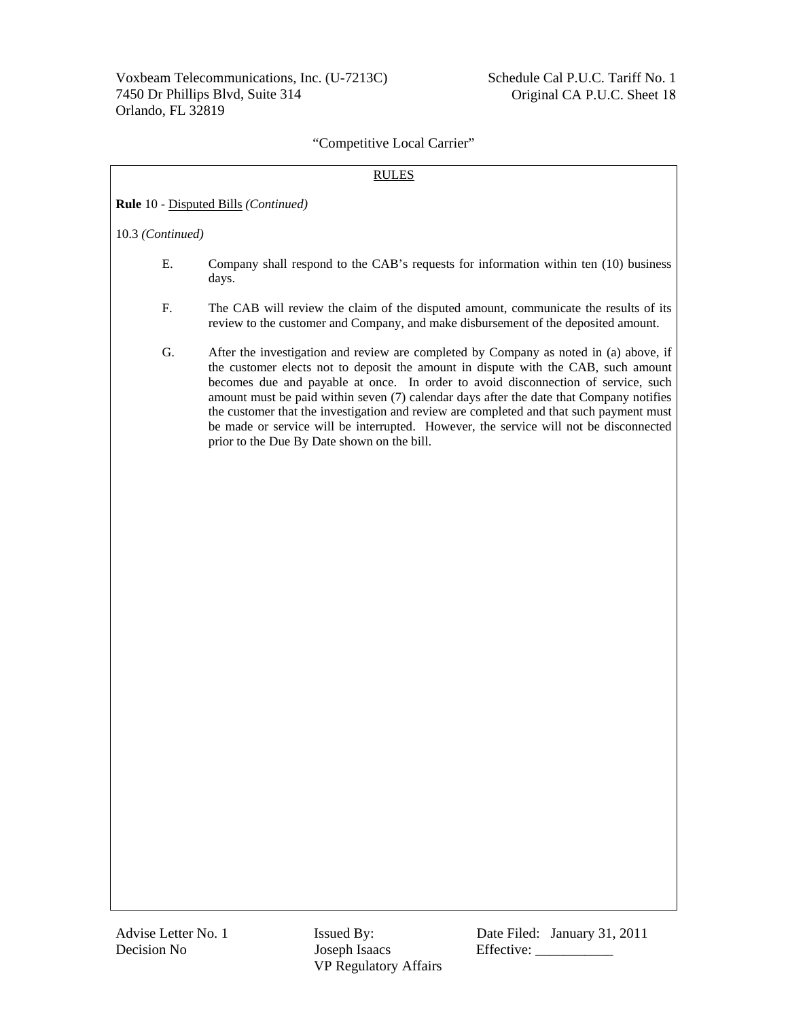### RULES

**Rule** 10 - Disputed Bills *(Continued)*

10.3 *(Continued)*

- E. Company shall respond to the CAB's requests for information within ten (10) business days.
- F. The CAB will review the claim of the disputed amount, communicate the results of its review to the customer and Company, and make disbursement of the deposited amount.
- G. After the investigation and review are completed by Company as noted in (a) above, if the customer elects not to deposit the amount in dispute with the CAB, such amount becomes due and payable at once. In order to avoid disconnection of service, such amount must be paid within seven (7) calendar days after the date that Company notifies the customer that the investigation and review are completed and that such payment must be made or service will be interrupted. However, the service will not be disconnected prior to the Due By Date shown on the bill.

Decision No Joseph Isaacs Effective: \_\_\_\_\_\_\_\_\_\_\_ VP Regulatory Affairs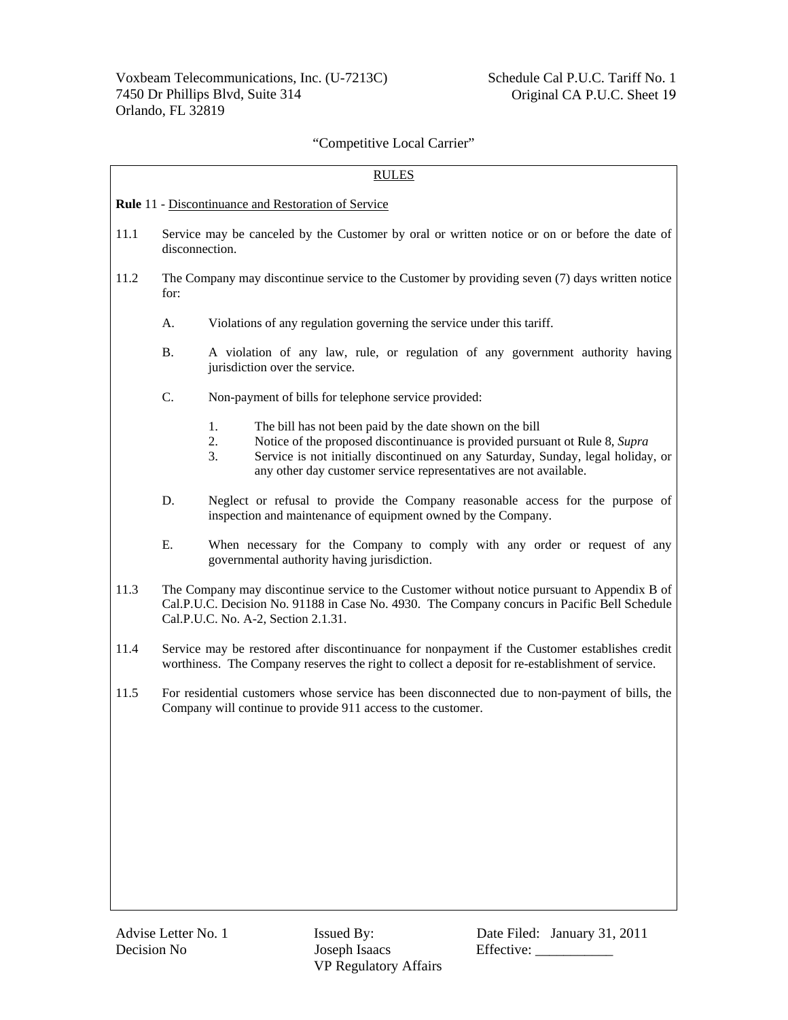| <b>RULES</b>                                               |                                                                                                                 |                                                                                                                                                                                                                                                                                                                    |  |
|------------------------------------------------------------|-----------------------------------------------------------------------------------------------------------------|--------------------------------------------------------------------------------------------------------------------------------------------------------------------------------------------------------------------------------------------------------------------------------------------------------------------|--|
| <b>Rule 11 - Discontinuance and Restoration of Service</b> |                                                                                                                 |                                                                                                                                                                                                                                                                                                                    |  |
| 11.1                                                       | Service may be canceled by the Customer by oral or written notice or on or before the date of<br>disconnection. |                                                                                                                                                                                                                                                                                                                    |  |
| 11.2                                                       | for:                                                                                                            | The Company may discontinue service to the Customer by providing seven (7) days written notice                                                                                                                                                                                                                     |  |
|                                                            | A.                                                                                                              | Violations of any regulation governing the service under this tariff.                                                                                                                                                                                                                                              |  |
|                                                            | <b>B.</b>                                                                                                       | A violation of any law, rule, or regulation of any government authority having<br>jurisdiction over the service.                                                                                                                                                                                                   |  |
|                                                            | $\mathbf{C}$ .                                                                                                  | Non-payment of bills for telephone service provided:                                                                                                                                                                                                                                                               |  |
|                                                            |                                                                                                                 | 1.<br>The bill has not been paid by the date shown on the bill<br>Notice of the proposed discontinuance is provided pursuant ot Rule 8, Supra<br>2.<br>Service is not initially discontinued on any Saturday, Sunday, legal holiday, or<br>3.<br>any other day customer service representatives are not available. |  |
|                                                            | D.                                                                                                              | Neglect or refusal to provide the Company reasonable access for the purpose of<br>inspection and maintenance of equipment owned by the Company.                                                                                                                                                                    |  |
|                                                            | Ε.                                                                                                              | When necessary for the Company to comply with any order or request of any<br>governmental authority having jurisdiction.                                                                                                                                                                                           |  |
| 11.3                                                       |                                                                                                                 | The Company may discontinue service to the Customer without notice pursuant to Appendix B of<br>Cal.P.U.C. Decision No. 91188 in Case No. 4930. The Company concurs in Pacific Bell Schedule<br>Cal.P.U.C. No. A-2, Section 2.1.31.                                                                                |  |
| 11.4                                                       |                                                                                                                 | Service may be restored after discontinuance for nonpayment if the Customer establishes credit<br>worthiness. The Company reserves the right to collect a deposit for re-establishment of service.                                                                                                                 |  |
| 11.5                                                       |                                                                                                                 | For residential customers whose service has been disconnected due to non-payment of bills, the<br>Company will continue to provide 911 access to the customer.                                                                                                                                                     |  |
|                                                            |                                                                                                                 |                                                                                                                                                                                                                                                                                                                    |  |
|                                                            |                                                                                                                 |                                                                                                                                                                                                                                                                                                                    |  |
|                                                            |                                                                                                                 |                                                                                                                                                                                                                                                                                                                    |  |
|                                                            |                                                                                                                 |                                                                                                                                                                                                                                                                                                                    |  |
|                                                            |                                                                                                                 |                                                                                                                                                                                                                                                                                                                    |  |
|                                                            |                                                                                                                 |                                                                                                                                                                                                                                                                                                                    |  |

VP Regulatory Affairs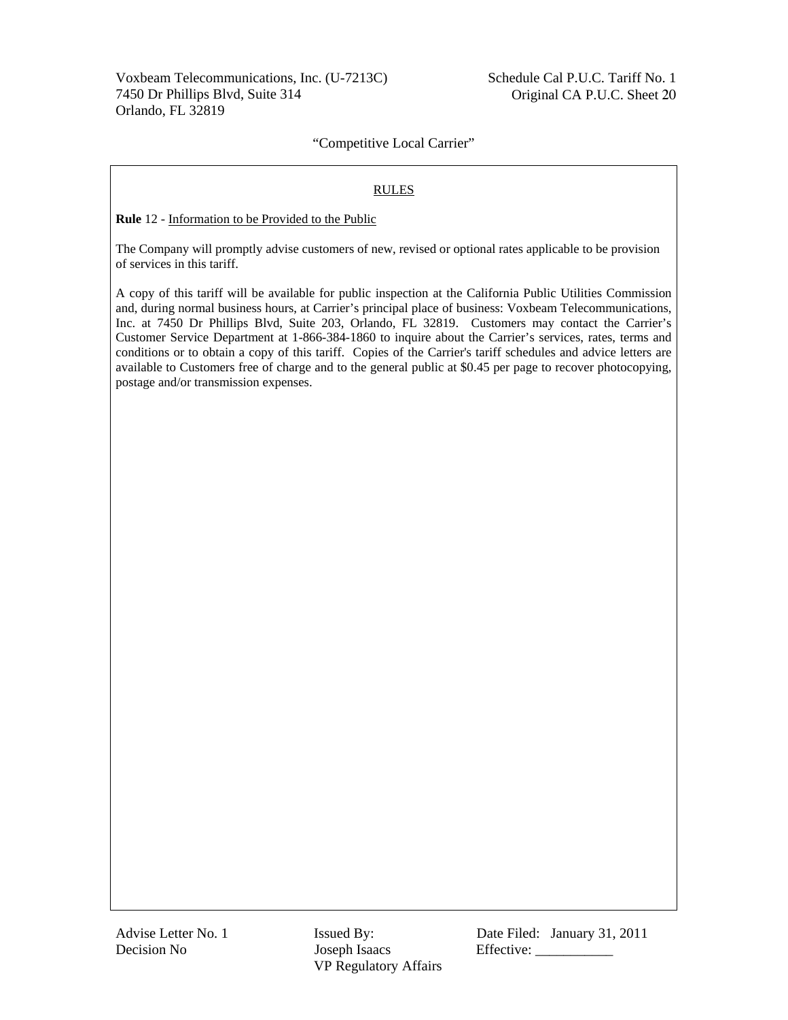Voxbeam Telecommunications, Inc. (U-7213C) 7450 Dr Phillips Blvd, Suite 314 Orlando, FL 32819

 Schedule Cal P.U.C. Tariff No. 1 Original CA P.U.C. Sheet 20

# "Competitive Local Carrier"

#### RULES

**Rule** 12 - Information to be Provided to the Public

The Company will promptly advise customers of new, revised or optional rates applicable to be provision of services in this tariff.

A copy of this tariff will be available for public inspection at the California Public Utilities Commission and, during normal business hours, at Carrier's principal place of business: Voxbeam Telecommunications, Inc. at 7450 Dr Phillips Blvd, Suite 203, Orlando, FL 32819. Customers may contact the Carrier's Customer Service Department at 1-866-384-1860 to inquire about the Carrier's services, rates, terms and conditions or to obtain a copy of this tariff. Copies of the Carrier's tariff schedules and advice letters are available to Customers free of charge and to the general public at \$0.45 per page to recover photocopying, postage and/or transmission expenses.

Decision No Joseph Isaacs Effective: \_\_\_\_\_\_\_\_\_\_\_ VP Regulatory Affairs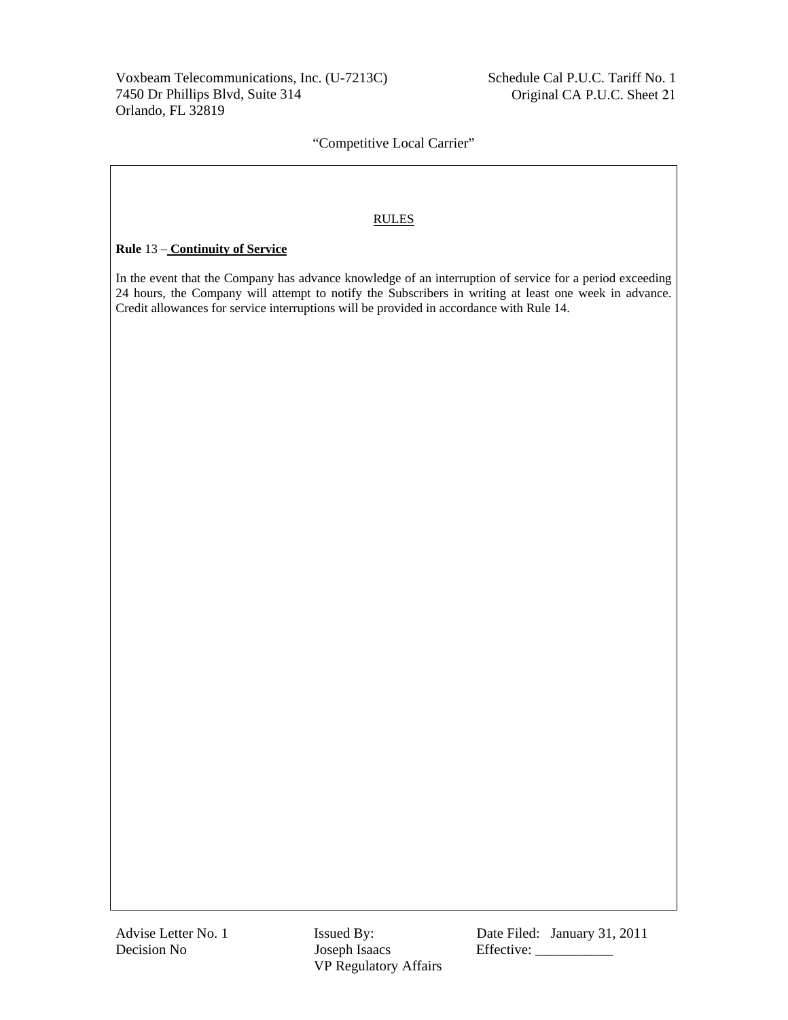# RULES

# **Rule** 13 – **Continuity of Service**

In the event that the Company has advance knowledge of an interruption of service for a period exceeding 24 hours, the Company will attempt to notify the Subscribers in writing at least one week in advance. Credit allowances for service interruptions will be provided in accordance with Rule 14.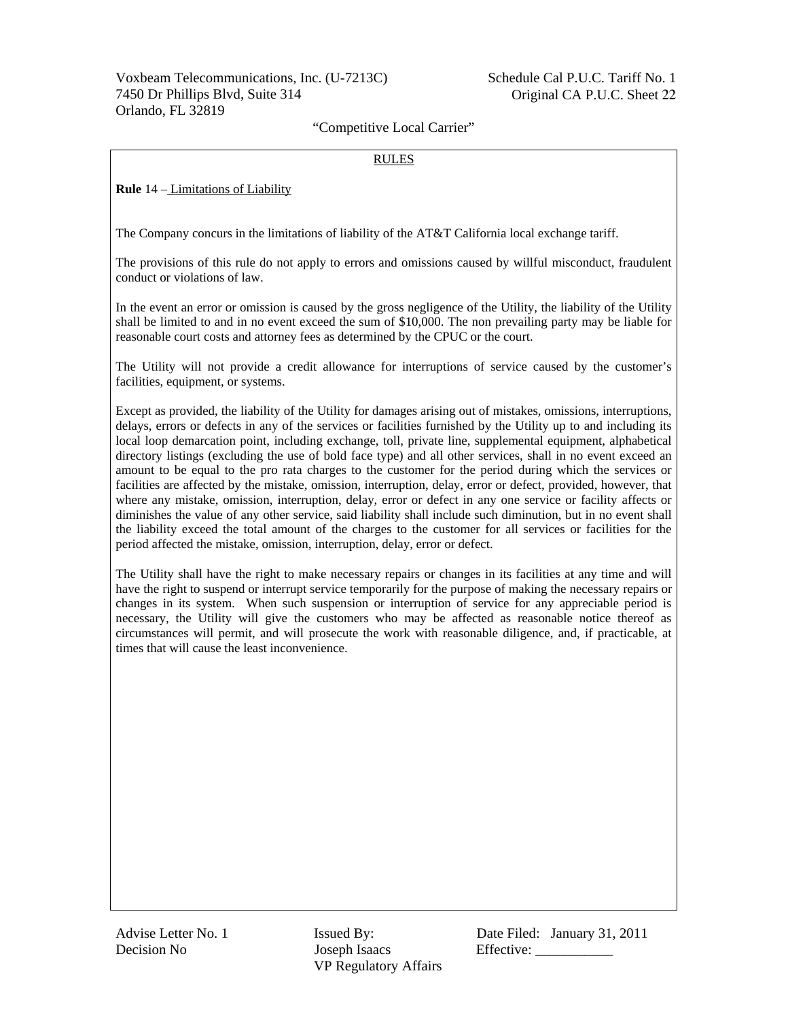### RULES

**Rule** 14 – Limitations of Liability

The Company concurs in the limitations of liability of the AT&T California local exchange tariff.

The provisions of this rule do not apply to errors and omissions caused by willful misconduct, fraudulent conduct or violations of law.

In the event an error or omission is caused by the gross negligence of the Utility, the liability of the Utility shall be limited to and in no event exceed the sum of \$10,000. The non prevailing party may be liable for reasonable court costs and attorney fees as determined by the CPUC or the court.

The Utility will not provide a credit allowance for interruptions of service caused by the customer's facilities, equipment, or systems.

Except as provided, the liability of the Utility for damages arising out of mistakes, omissions, interruptions, delays, errors or defects in any of the services or facilities furnished by the Utility up to and including its local loop demarcation point, including exchange, toll, private line, supplemental equipment, alphabetical directory listings (excluding the use of bold face type) and all other services, shall in no event exceed an amount to be equal to the pro rata charges to the customer for the period during which the services or facilities are affected by the mistake, omission, interruption, delay, error or defect, provided, however, that where any mistake, omission, interruption, delay, error or defect in any one service or facility affects or diminishes the value of any other service, said liability shall include such diminution, but in no event shall the liability exceed the total amount of the charges to the customer for all services or facilities for the period affected the mistake, omission, interruption, delay, error or defect.

The Utility shall have the right to make necessary repairs or changes in its facilities at any time and will have the right to suspend or interrupt service temporarily for the purpose of making the necessary repairs or changes in its system. When such suspension or interruption of service for any appreciable period is necessary, the Utility will give the customers who may be affected as reasonable notice thereof as circumstances will permit, and will prosecute the work with reasonable diligence, and, if practicable, at times that will cause the least inconvenience.

Decision No Joseph Isaacs Effective: \_\_\_\_\_\_\_\_\_\_\_ VP Regulatory Affairs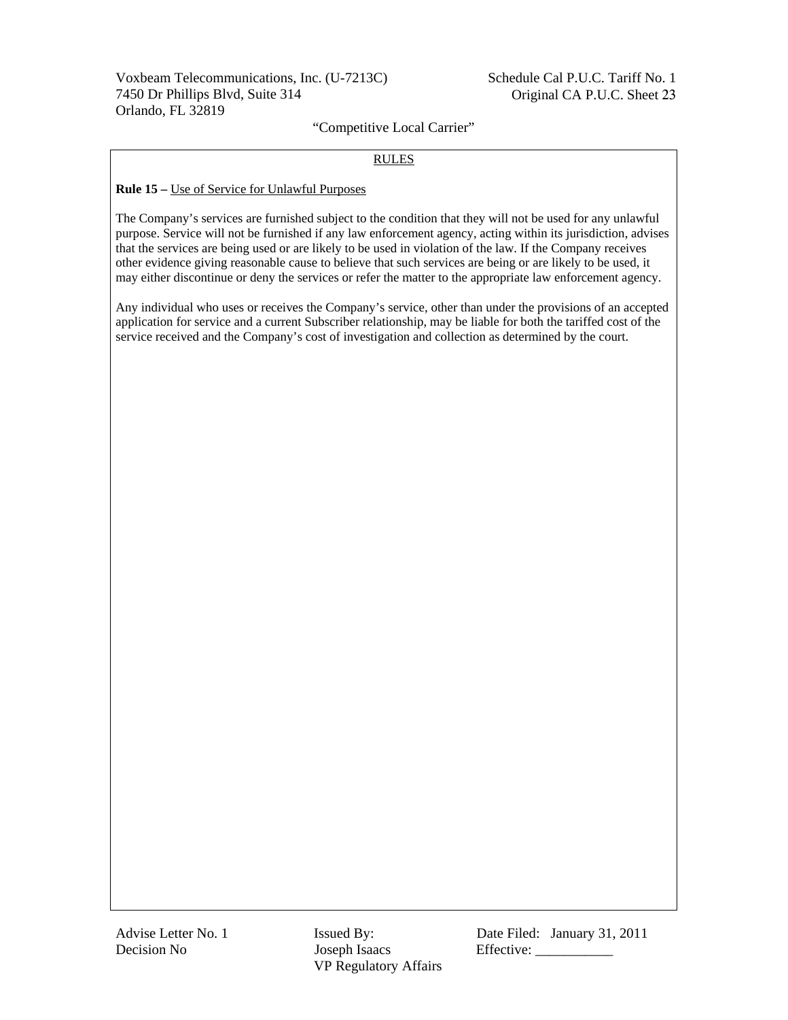### RULES

#### **Rule 15 –** Use of Service for Unlawful Purposes

The Company's services are furnished subject to the condition that they will not be used for any unlawful purpose. Service will not be furnished if any law enforcement agency, acting within its jurisdiction, advises that the services are being used or are likely to be used in violation of the law. If the Company receives other evidence giving reasonable cause to believe that such services are being or are likely to be used, it may either discontinue or deny the services or refer the matter to the appropriate law enforcement agency.

Any individual who uses or receives the Company's service, other than under the provisions of an accepted application for service and a current Subscriber relationship, may be liable for both the tariffed cost of the service received and the Company's cost of investigation and collection as determined by the court.

Decision No Joseph Isaacs Effective: \_\_\_\_\_\_\_\_\_\_\_ VP Regulatory Affairs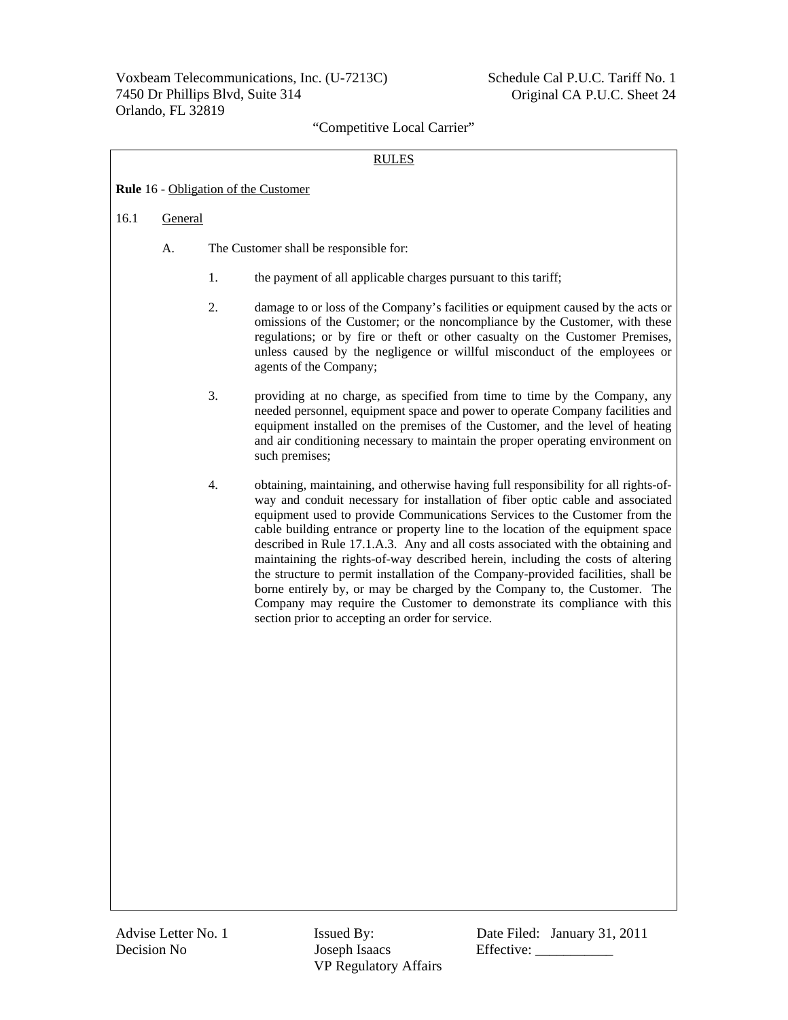### RULES

| <b>Rule</b> 16 - Obligation of the Customer |  |
|---------------------------------------------|--|
|                                             |  |

### 16.1 General

- A. The Customer shall be responsible for:
	- 1. the payment of all applicable charges pursuant to this tariff;
	- 2. damage to or loss of the Company's facilities or equipment caused by the acts or omissions of the Customer; or the noncompliance by the Customer, with these regulations; or by fire or theft or other casualty on the Customer Premises, unless caused by the negligence or willful misconduct of the employees or agents of the Company;
	- 3. providing at no charge, as specified from time to time by the Company, any needed personnel, equipment space and power to operate Company facilities and equipment installed on the premises of the Customer, and the level of heating and air conditioning necessary to maintain the proper operating environment on such premises;
	- 4. obtaining, maintaining, and otherwise having full responsibility for all rights-ofway and conduit necessary for installation of fiber optic cable and associated equipment used to provide Communications Services to the Customer from the cable building entrance or property line to the location of the equipment space described in Rule 17.1.A.3. Any and all costs associated with the obtaining and maintaining the rights-of-way described herein, including the costs of altering the structure to permit installation of the Company-provided facilities, shall be borne entirely by, or may be charged by the Company to, the Customer. The Company may require the Customer to demonstrate its compliance with this section prior to accepting an order for service.

Decision No Joseph Isaacs Effective: \_\_\_\_\_\_\_\_\_\_\_ VP Regulatory Affairs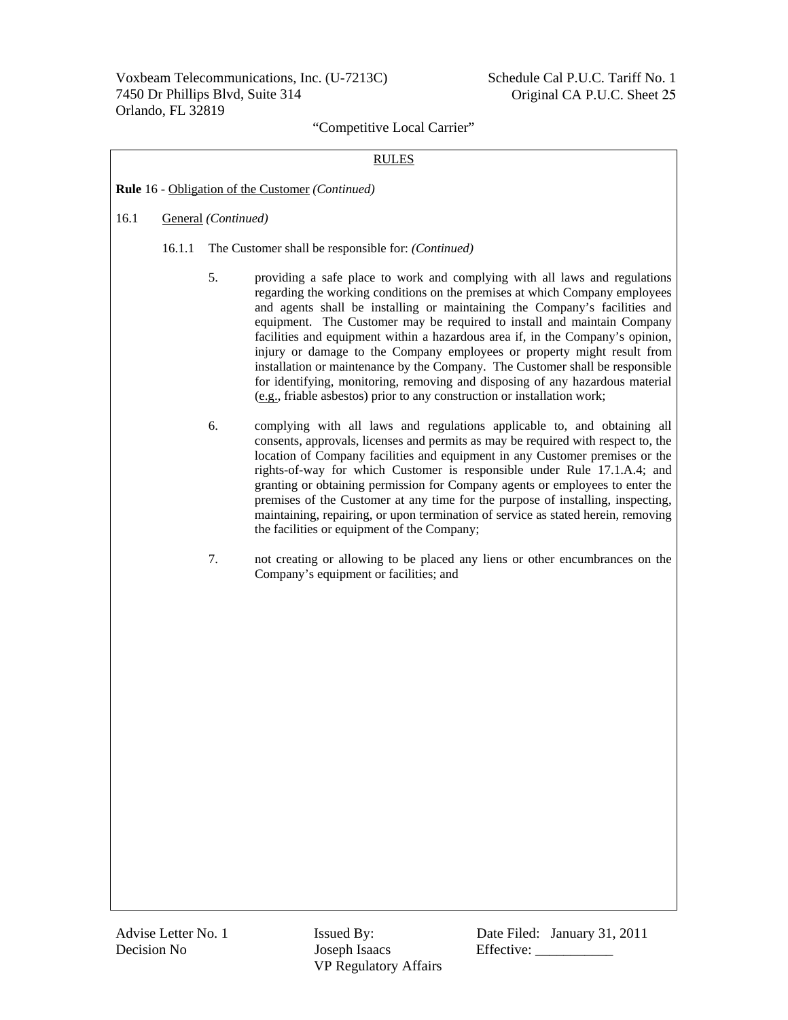### RULES

**Rule** 16 - Obligation of the Customer *(Continued)*

### 16.1 General *(Continued)*

- 16.1.1 The Customer shall be responsible for: *(Continued)*
	- 5. providing a safe place to work and complying with all laws and regulations regarding the working conditions on the premises at which Company employees and agents shall be installing or maintaining the Company's facilities and equipment. The Customer may be required to install and maintain Company facilities and equipment within a hazardous area if, in the Company's opinion, injury or damage to the Company employees or property might result from installation or maintenance by the Company. The Customer shall be responsible for identifying, monitoring, removing and disposing of any hazardous material (e.g., friable asbestos) prior to any construction or installation work;
	- 6. complying with all laws and regulations applicable to, and obtaining all consents, approvals, licenses and permits as may be required with respect to, the location of Company facilities and equipment in any Customer premises or the rights-of-way for which Customer is responsible under Rule 17.1.A.4; and granting or obtaining permission for Company agents or employees to enter the premises of the Customer at any time for the purpose of installing, inspecting, maintaining, repairing, or upon termination of service as stated herein, removing the facilities or equipment of the Company;
	- 7. not creating or allowing to be placed any liens or other encumbrances on the Company's equipment or facilities; and

Decision No Joseph Isaacs Effective: \_\_\_\_\_\_\_\_\_\_\_ VP Regulatory Affairs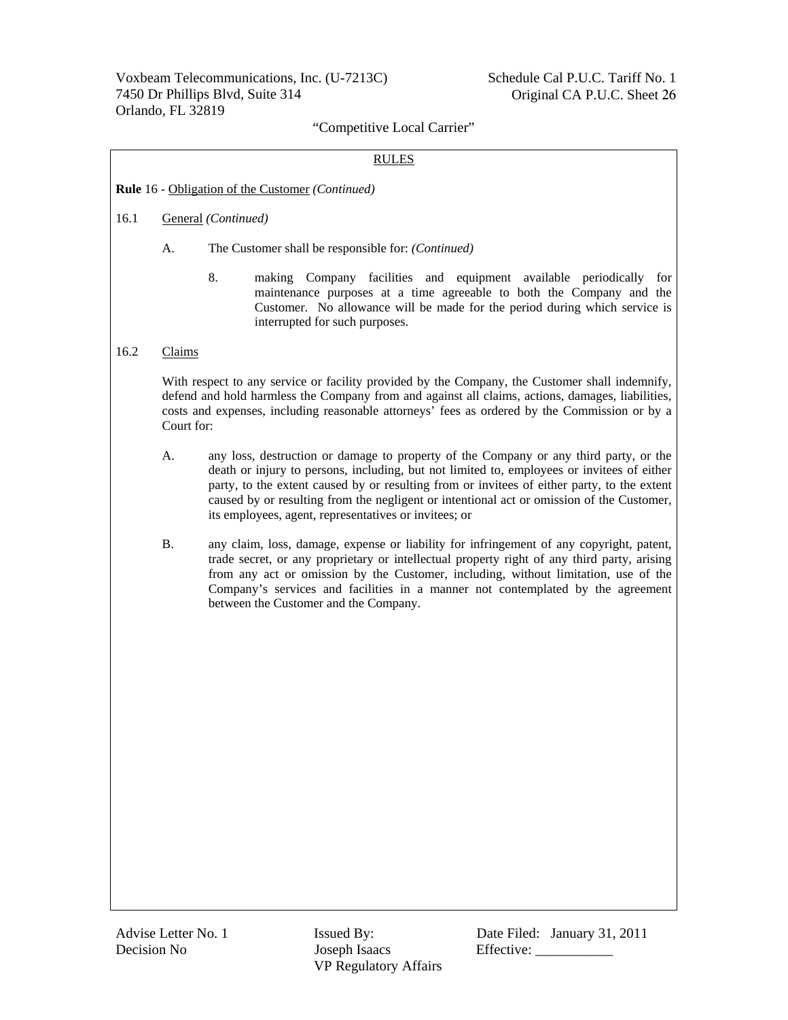### RULES

#### **Rule** 16 - Obligation of the Customer *(Continued)*

### 16.1 General *(Continued)*

- A. The Customer shall be responsible for: *(Continued)*
	- 8. making Company facilities and equipment available periodically for maintenance purposes at a time agreeable to both the Company and the Customer. No allowance will be made for the period during which service is interrupted for such purposes.

### 16.2 Claims

With respect to any service or facility provided by the Company, the Customer shall indemnify, defend and hold harmless the Company from and against all claims, actions, damages, liabilities, costs and expenses, including reasonable attorneys' fees as ordered by the Commission or by a Court for:

- A. any loss, destruction or damage to property of the Company or any third party, or the death or injury to persons, including, but not limited to, employees or invitees of either party, to the extent caused by or resulting from or invitees of either party, to the extent caused by or resulting from the negligent or intentional act or omission of the Customer, its employees, agent, representatives or invitees; or
- B. any claim, loss, damage, expense or liability for infringement of any copyright, patent, trade secret, or any proprietary or intellectual property right of any third party, arising from any act or omission by the Customer, including, without limitation, use of the Company's services and facilities in a manner not contemplated by the agreement between the Customer and the Company.

Decision No Joseph Isaacs Effective: \_\_\_\_\_\_\_\_\_\_\_ VP Regulatory Affairs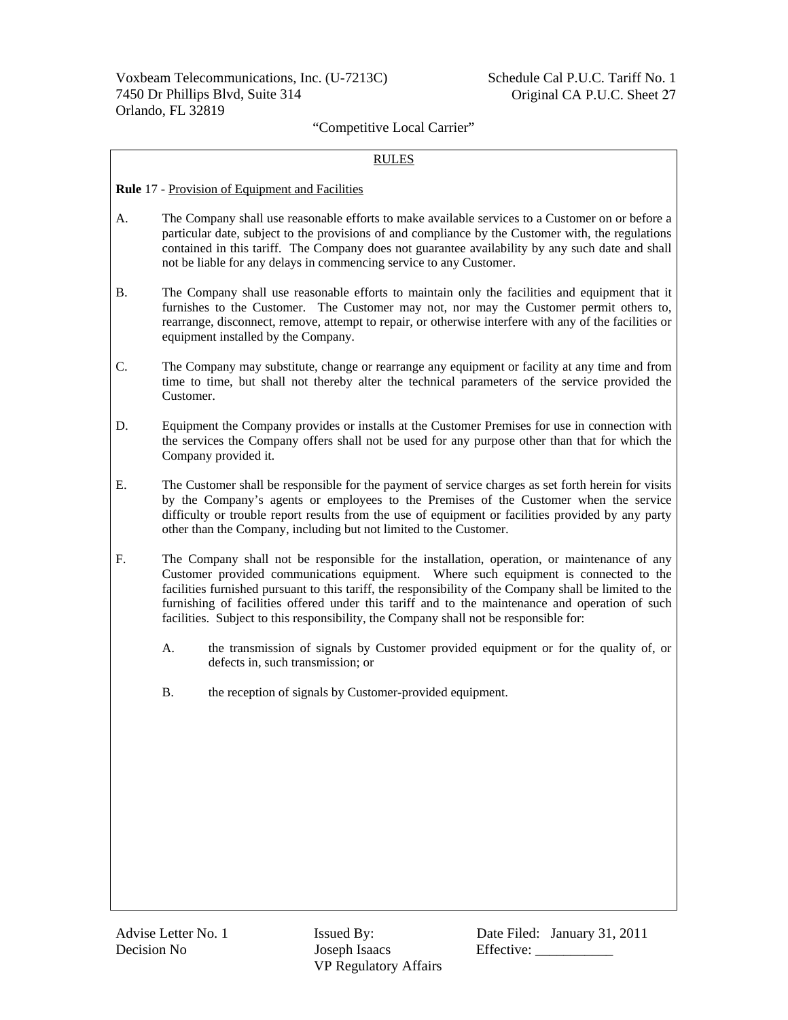### RULES

#### **Rule** 17 - Provision of Equipment and Facilities

- A. The Company shall use reasonable efforts to make available services to a Customer on or before a particular date, subject to the provisions of and compliance by the Customer with, the regulations contained in this tariff. The Company does not guarantee availability by any such date and shall not be liable for any delays in commencing service to any Customer.
- B. The Company shall use reasonable efforts to maintain only the facilities and equipment that it furnishes to the Customer. The Customer may not, nor may the Customer permit others to, rearrange, disconnect, remove, attempt to repair, or otherwise interfere with any of the facilities or equipment installed by the Company.
- C. The Company may substitute, change or rearrange any equipment or facility at any time and from time to time, but shall not thereby alter the technical parameters of the service provided the Customer.
- D. Equipment the Company provides or installs at the Customer Premises for use in connection with the services the Company offers shall not be used for any purpose other than that for which the Company provided it.
- E. The Customer shall be responsible for the payment of service charges as set forth herein for visits by the Company's agents or employees to the Premises of the Customer when the service difficulty or trouble report results from the use of equipment or facilities provided by any party other than the Company, including but not limited to the Customer.
- F. The Company shall not be responsible for the installation, operation, or maintenance of any Customer provided communications equipment. Where such equipment is connected to the facilities furnished pursuant to this tariff, the responsibility of the Company shall be limited to the furnishing of facilities offered under this tariff and to the maintenance and operation of such facilities. Subject to this responsibility, the Company shall not be responsible for:
	- A. the transmission of signals by Customer provided equipment or for the quality of, or defects in, such transmission; or
	- B. the reception of signals by Customer-provided equipment.

Decision No Joseph Isaacs Effective: \_\_\_\_\_\_\_\_\_\_\_ VP Regulatory Affairs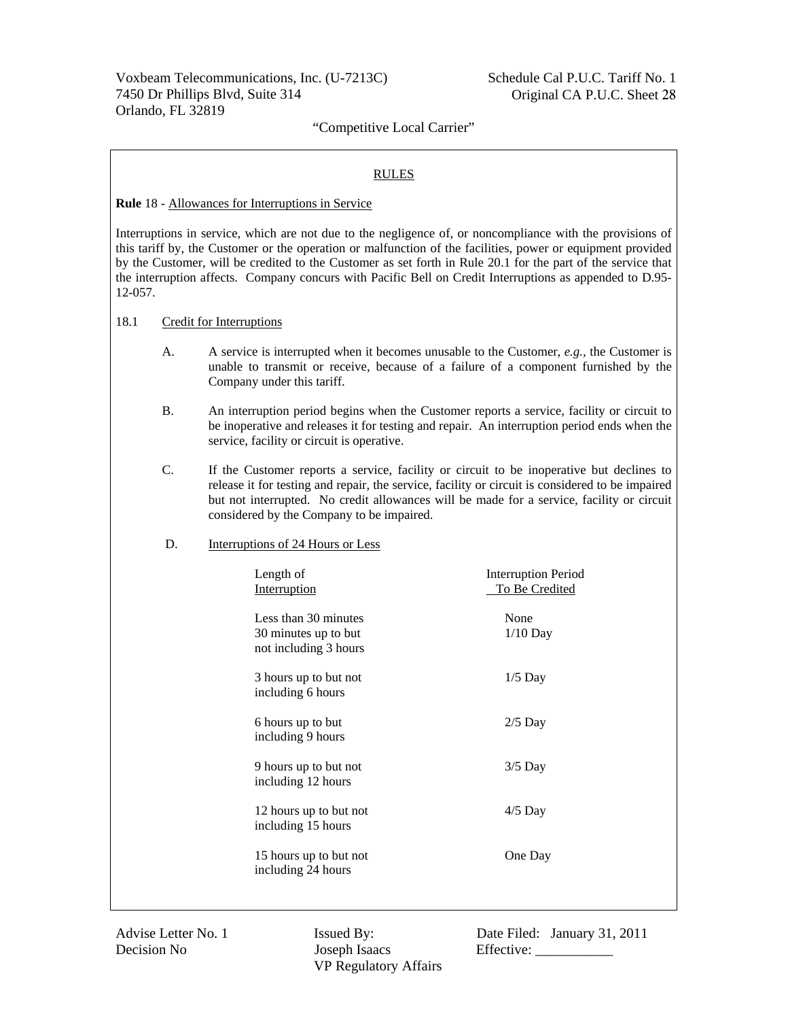## RULES

#### **Rule** 18 - Allowances for Interruptions in Service

Interruptions in service, which are not due to the negligence of, or noncompliance with the provisions of this tariff by, the Customer or the operation or malfunction of the facilities, power or equipment provided by the Customer, will be credited to the Customer as set forth in Rule 20.1 for the part of the service that the interruption affects. Company concurs with Pacific Bell on Credit Interruptions as appended to D.95- 12-057.

#### 18.1 Credit for Interruptions

- A. A service is interrupted when it becomes unusable to the Customer, *e.g.,* the Customer is unable to transmit or receive, because of a failure of a component furnished by the Company under this tariff.
- B. An interruption period begins when the Customer reports a service, facility or circuit to be inoperative and releases it for testing and repair. An interruption period ends when the service, facility or circuit is operative.
- C. If the Customer reports a service, facility or circuit to be inoperative but declines to release it for testing and repair, the service, facility or circuit is considered to be impaired but not interrupted. No credit allowances will be made for a service, facility or circuit considered by the Company to be impaired.
- D. Interruptions of 24 Hours or Less

| Length of<br>Interruption                                             | <b>Interruption Period</b><br>To Be Credited |
|-----------------------------------------------------------------------|----------------------------------------------|
| Less than 30 minutes<br>30 minutes up to but<br>not including 3 hours | None<br>$1/10$ Day                           |
| 3 hours up to but not<br>including 6 hours                            | $1/5$ Day                                    |
| 6 hours up to but<br>including 9 hours                                | $2/5$ Day                                    |
| 9 hours up to but not<br>including 12 hours                           | $3/5$ Day                                    |
| 12 hours up to but not<br>including 15 hours                          | $4/5$ Day                                    |
| 15 hours up to but not<br>including 24 hours                          | One Day                                      |
|                                                                       |                                              |

Decision No Joseph Isaacs Effective: \_\_\_\_\_\_\_\_\_\_\_ VP Regulatory Affairs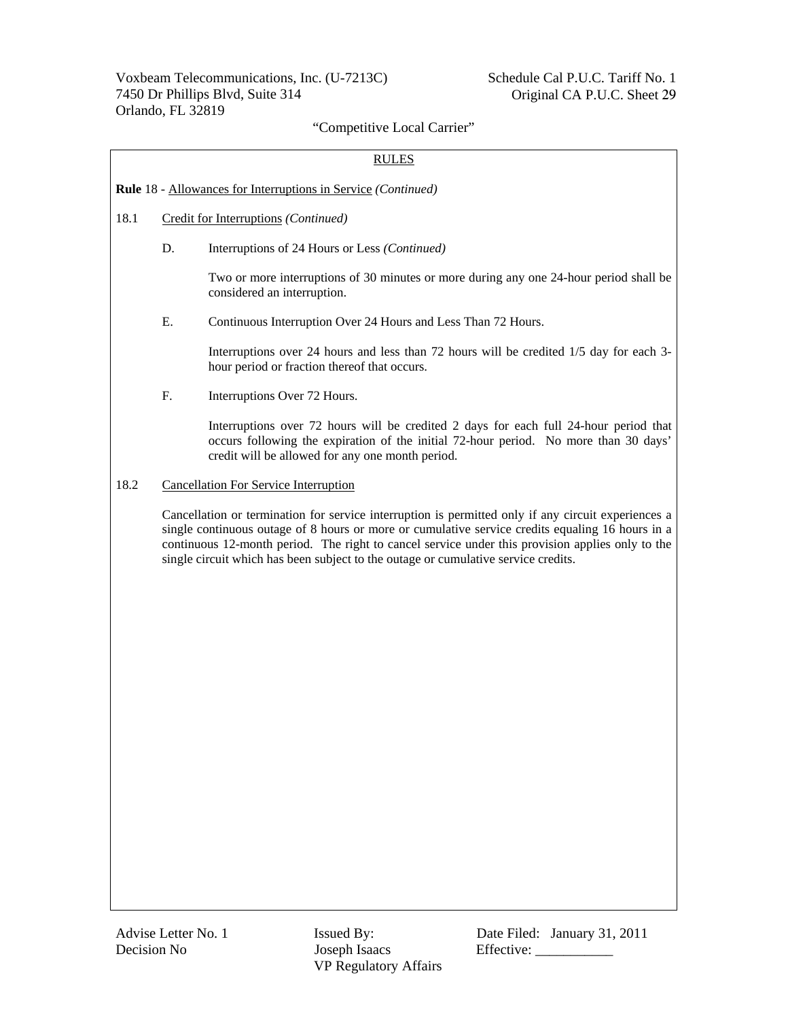### RULES

#### **Rule** 18 - Allowances for Interruptions in Service *(Continued)*

- 18.1 Credit for Interruptions *(Continued)*
	- D. Interruptions of 24 Hours or Less *(Continued)*

Two or more interruptions of 30 minutes or more during any one 24-hour period shall be considered an interruption.

E. Continuous Interruption Over 24 Hours and Less Than 72 Hours.

Interruptions over 24 hours and less than 72 hours will be credited 1/5 day for each 3 hour period or fraction thereof that occurs.

F. Interruptions Over 72 Hours.

Interruptions over 72 hours will be credited 2 days for each full 24-hour period that occurs following the expiration of the initial 72-hour period. No more than 30 days' credit will be allowed for any one month period.

#### 18.2 Cancellation For Service Interruption

Cancellation or termination for service interruption is permitted only if any circuit experiences a single continuous outage of 8 hours or more or cumulative service credits equaling 16 hours in a continuous 12-month period. The right to cancel service under this provision applies only to the single circuit which has been subject to the outage or cumulative service credits.

Decision No Joseph Isaacs Effective: VP Regulatory Affairs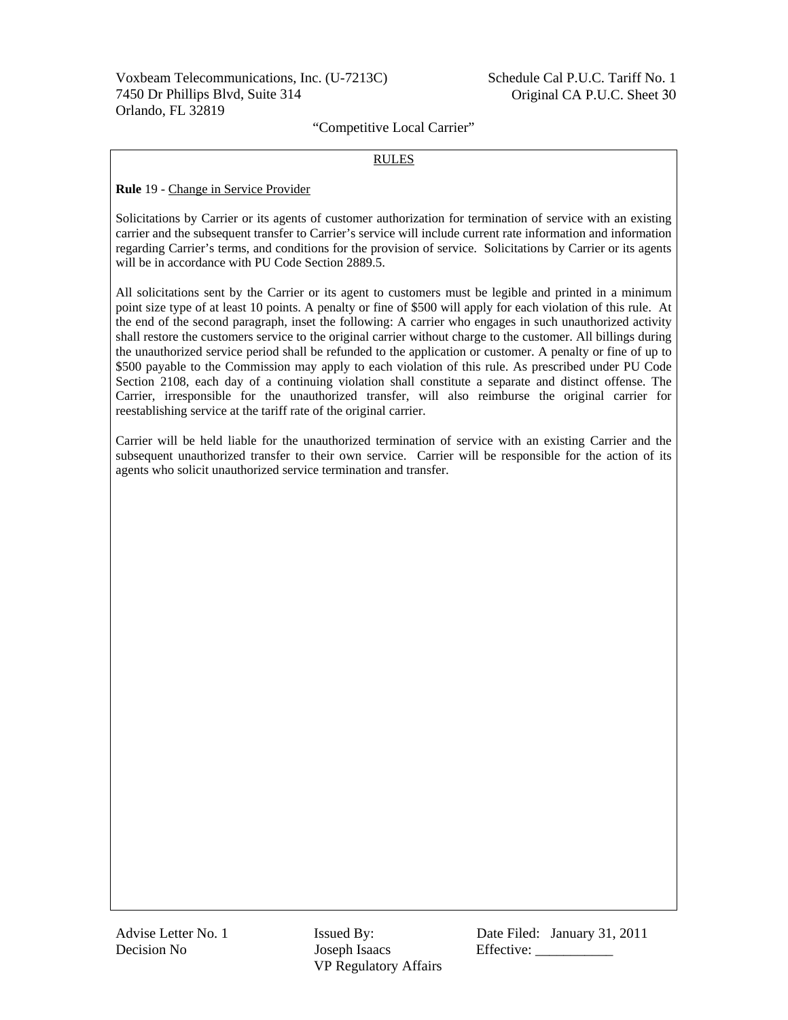#### RULES

#### **Rule** 19 - Change in Service Provider

Solicitations by Carrier or its agents of customer authorization for termination of service with an existing carrier and the subsequent transfer to Carrier's service will include current rate information and information regarding Carrier's terms, and conditions for the provision of service. Solicitations by Carrier or its agents will be in accordance with PU Code Section 2889.5.

All solicitations sent by the Carrier or its agent to customers must be legible and printed in a minimum point size type of at least 10 points. A penalty or fine of \$500 will apply for each violation of this rule. At the end of the second paragraph, inset the following: A carrier who engages in such unauthorized activity shall restore the customers service to the original carrier without charge to the customer. All billings during the unauthorized service period shall be refunded to the application or customer. A penalty or fine of up to \$500 payable to the Commission may apply to each violation of this rule. As prescribed under PU Code Section 2108, each day of a continuing violation shall constitute a separate and distinct offense. The Carrier, irresponsible for the unauthorized transfer, will also reimburse the original carrier for reestablishing service at the tariff rate of the original carrier.

Carrier will be held liable for the unauthorized termination of service with an existing Carrier and the subsequent unauthorized transfer to their own service. Carrier will be responsible for the action of its agents who solicit unauthorized service termination and transfer.

Decision No Joseph Isaacs Effective: VP Regulatory Affairs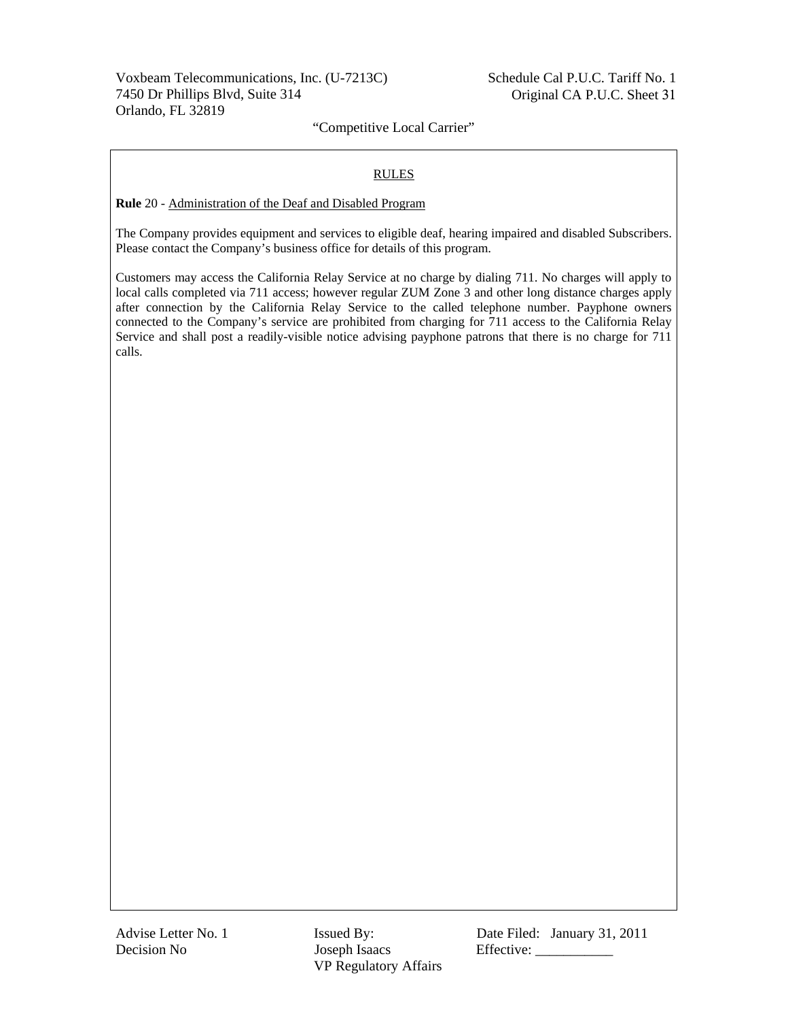### RULES

**Rule** 20 - Administration of the Deaf and Disabled Program

The Company provides equipment and services to eligible deaf, hearing impaired and disabled Subscribers. Please contact the Company's business office for details of this program.

Customers may access the California Relay Service at no charge by dialing 711. No charges will apply to local calls completed via 711 access; however regular ZUM Zone 3 and other long distance charges apply after connection by the California Relay Service to the called telephone number. Payphone owners connected to the Company's service are prohibited from charging for 711 access to the California Relay Service and shall post a readily-visible notice advising payphone patrons that there is no charge for 711 calls.

Decision No Joseph Isaacs Effective: \_\_\_\_\_\_\_\_\_\_\_ VP Regulatory Affairs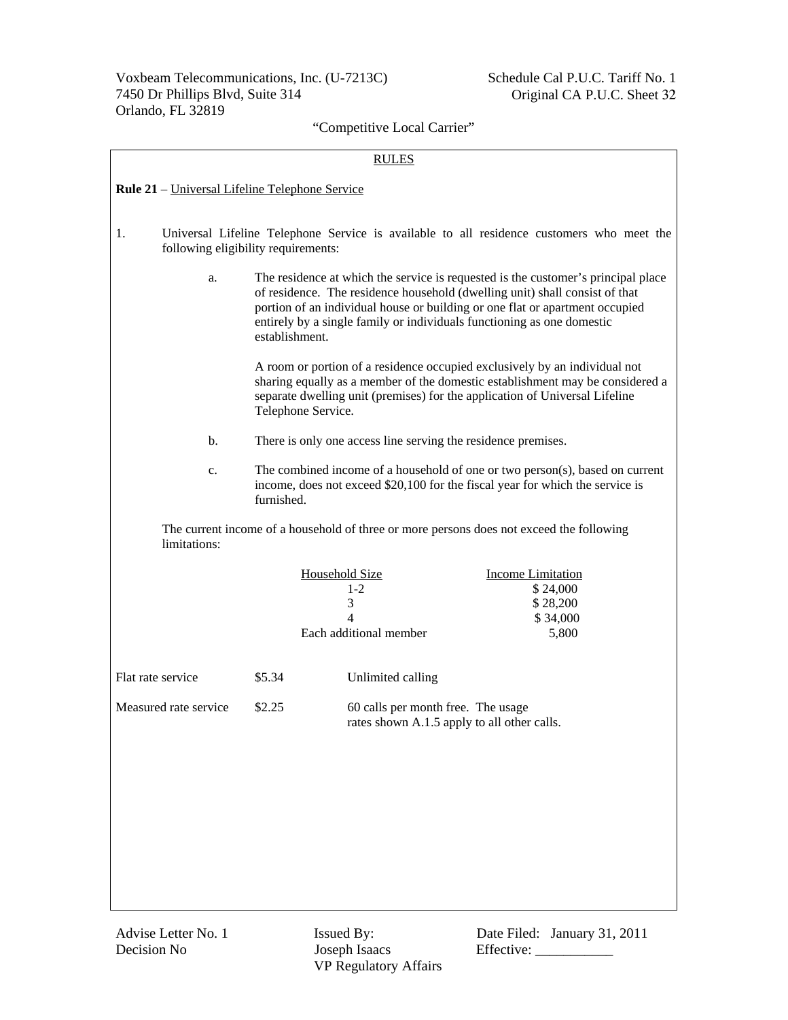|                       | <b>RULES</b>                                                                                                                     |                                                                                                                                                                                                                                                                                                                                              |                                                                                          |  |  |
|-----------------------|----------------------------------------------------------------------------------------------------------------------------------|----------------------------------------------------------------------------------------------------------------------------------------------------------------------------------------------------------------------------------------------------------------------------------------------------------------------------------------------|------------------------------------------------------------------------------------------|--|--|
|                       | Rule 21 - Universal Lifeline Telephone Service                                                                                   |                                                                                                                                                                                                                                                                                                                                              |                                                                                          |  |  |
| 1.                    | Universal Lifeline Telephone Service is available to all residence customers who meet the<br>following eligibility requirements: |                                                                                                                                                                                                                                                                                                                                              |                                                                                          |  |  |
| a.                    |                                                                                                                                  | The residence at which the service is requested is the customer's principal place<br>of residence. The residence household (dwelling unit) shall consist of that<br>portion of an individual house or building or one flat or apartment occupied<br>entirely by a single family or individuals functioning as one domestic<br>establishment. |                                                                                          |  |  |
|                       |                                                                                                                                  | A room or portion of a residence occupied exclusively by an individual not<br>sharing equally as a member of the domestic establishment may be considered a<br>separate dwelling unit (premises) for the application of Universal Lifeline<br>Telephone Service.                                                                             |                                                                                          |  |  |
| b.                    |                                                                                                                                  | There is only one access line serving the residence premises.                                                                                                                                                                                                                                                                                |                                                                                          |  |  |
| c.                    | furnished.                                                                                                                       | The combined income of a household of one or two person(s), based on current<br>income, does not exceed \$20,100 for the fiscal year for which the service is                                                                                                                                                                                |                                                                                          |  |  |
| limitations:          |                                                                                                                                  |                                                                                                                                                                                                                                                                                                                                              | The current income of a household of three or more persons does not exceed the following |  |  |
|                       |                                                                                                                                  | <b>Household Size</b><br>$1-2$<br>3<br>$\overline{4}$<br>Each additional member                                                                                                                                                                                                                                                              | <b>Income Limitation</b><br>\$24,000<br>\$28,200<br>\$34,000<br>5,800                    |  |  |
| Flat rate service     | \$5.34                                                                                                                           | Unlimited calling                                                                                                                                                                                                                                                                                                                            |                                                                                          |  |  |
| Measured rate service | \$2.25                                                                                                                           | 60 calls per month free. The usage                                                                                                                                                                                                                                                                                                           | rates shown A.1.5 apply to all other calls.                                              |  |  |
|                       |                                                                                                                                  |                                                                                                                                                                                                                                                                                                                                              |                                                                                          |  |  |
|                       |                                                                                                                                  |                                                                                                                                                                                                                                                                                                                                              |                                                                                          |  |  |
|                       |                                                                                                                                  |                                                                                                                                                                                                                                                                                                                                              |                                                                                          |  |  |
|                       |                                                                                                                                  |                                                                                                                                                                                                                                                                                                                                              |                                                                                          |  |  |
|                       |                                                                                                                                  |                                                                                                                                                                                                                                                                                                                                              |                                                                                          |  |  |

VP Regulatory Affairs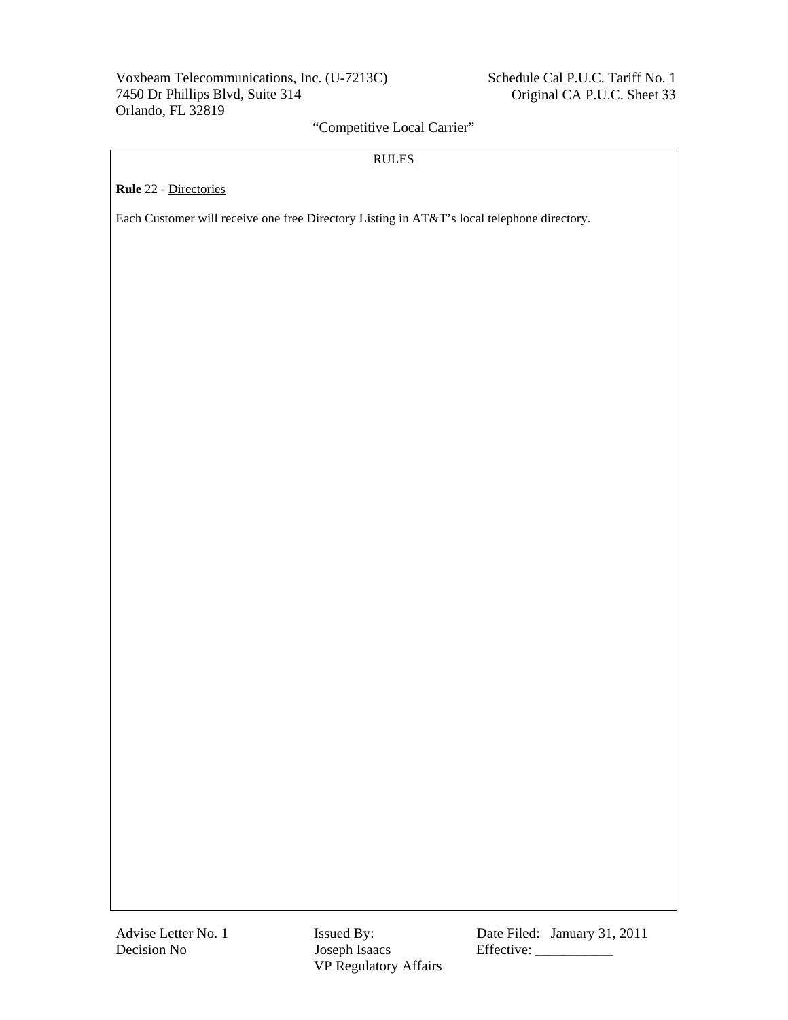# Voxbeam Telecommunications, Inc. (U-7213C) 7450 Dr Phillips Blvd, Suite 314 Orlando, FL 32819

# "Competitive Local Carrier"

## RULES

**Rule** 22 - Directories

Each Customer will receive one free Directory Listing in AT&T's local telephone directory.

VP Regulatory Affairs

Advise Letter No. 1 **Issued By:** Date Filed: January 31, 2011 Decision No Joseph Isaacs Effective: \_\_\_\_\_\_\_\_\_\_\_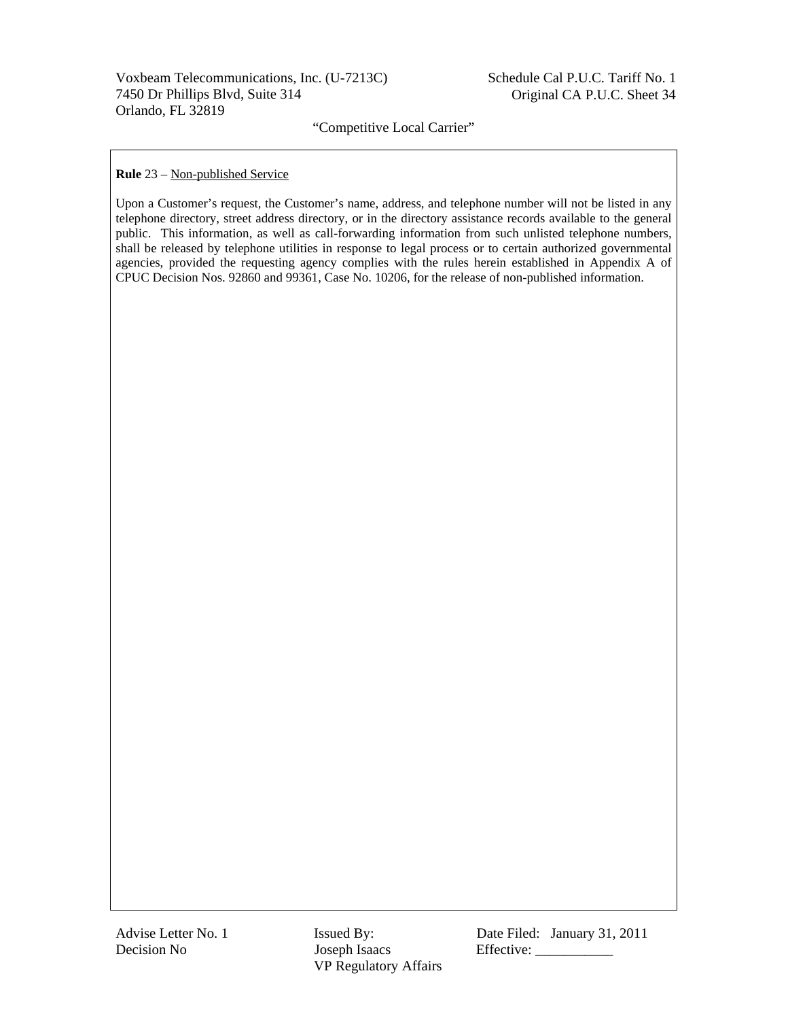#### **Rule** 23 – Non-published Service

Upon a Customer's request, the Customer's name, address, and telephone number will not be listed in any telephone directory, street address directory, or in the directory assistance records available to the general public. This information, as well as call-forwarding information from such unlisted telephone numbers, shall be released by telephone utilities in response to legal process or to certain authorized governmental agencies, provided the requesting agency complies with the rules herein established in Appendix A of CPUC Decision Nos. 92860 and 99361, Case No. 10206, for the release of non-published information.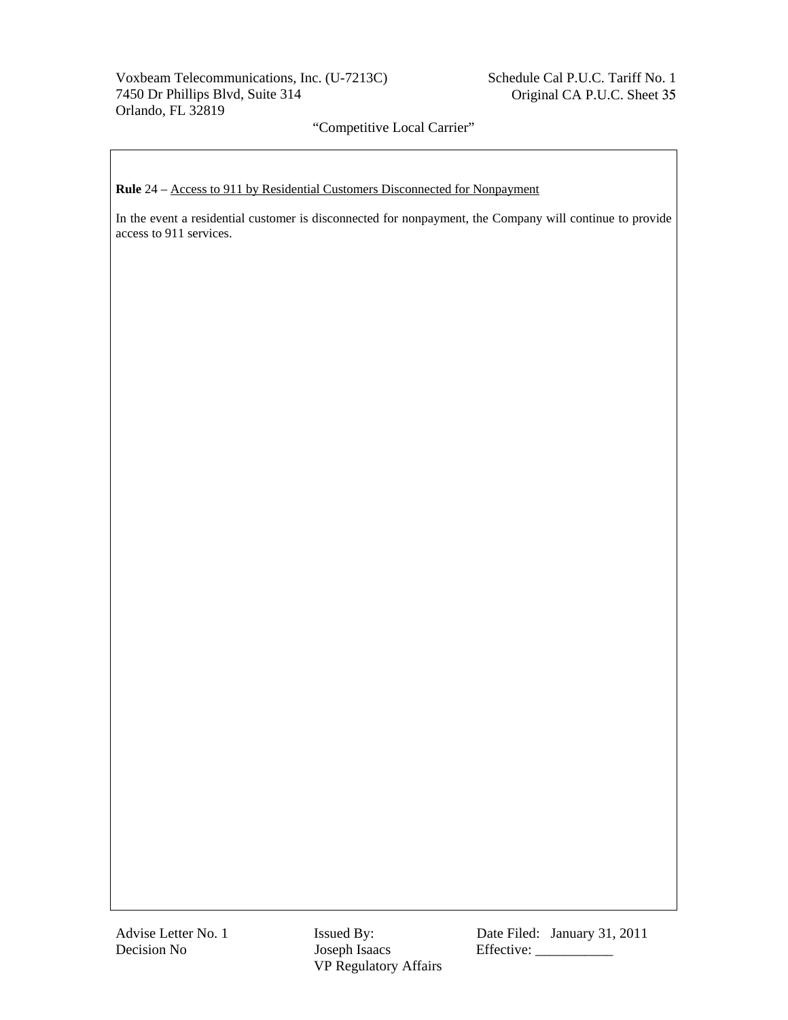# Voxbeam Telecommunications, Inc. (U-7213C) 7450 Dr Phillips Blvd, Suite 314 Orlando, FL 32819

"Competitive Local Carrier"

**Rule** 24 – Access to 911 by Residential Customers Disconnected for Nonpayment

In the event a residential customer is disconnected for nonpayment, the Company will continue to provide access to 911 services.

VP Regulatory Affairs

Advise Letter No. 1 **Issued By:** Date Filed: January 31, 2011 Decision No Joseph Isaacs Effective: \_\_\_\_\_\_\_\_\_\_\_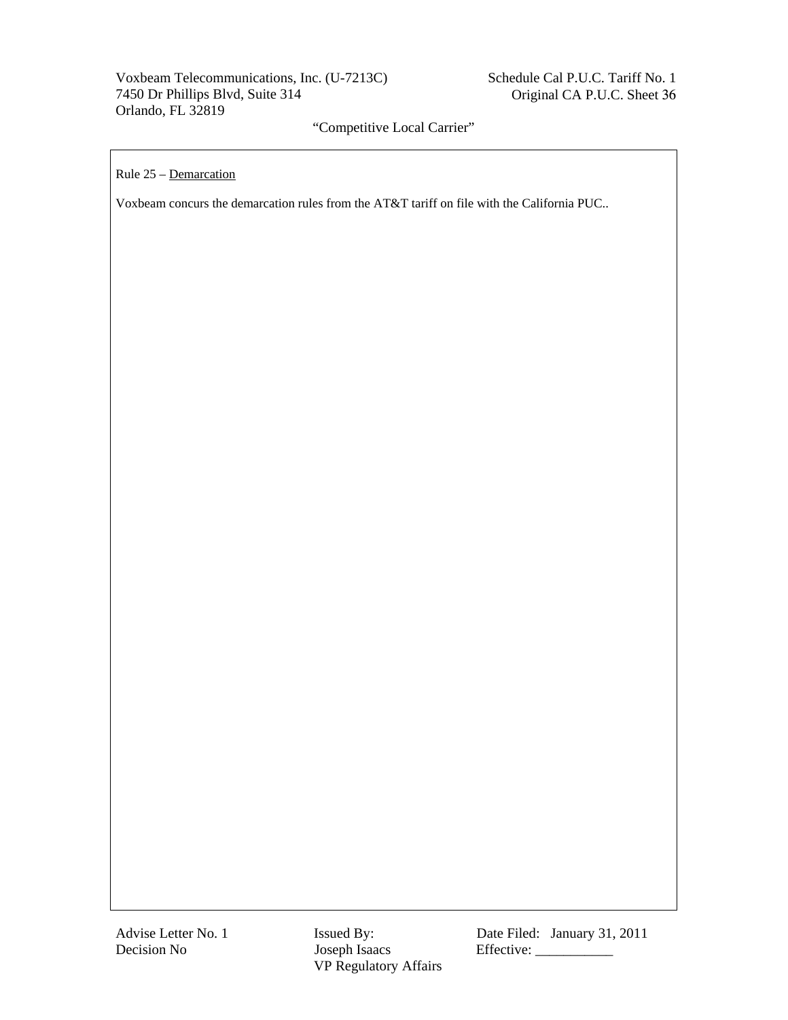Rule 25 – Demarcation

Voxbeam concurs the demarcation rules from the AT&T tariff on file with the California PUC..

Advise Letter No. 1 **Issued By:** Date Filed: January 31, 2011 Decision No Joseph Isaacs Effective: \_\_\_\_\_\_\_\_\_\_\_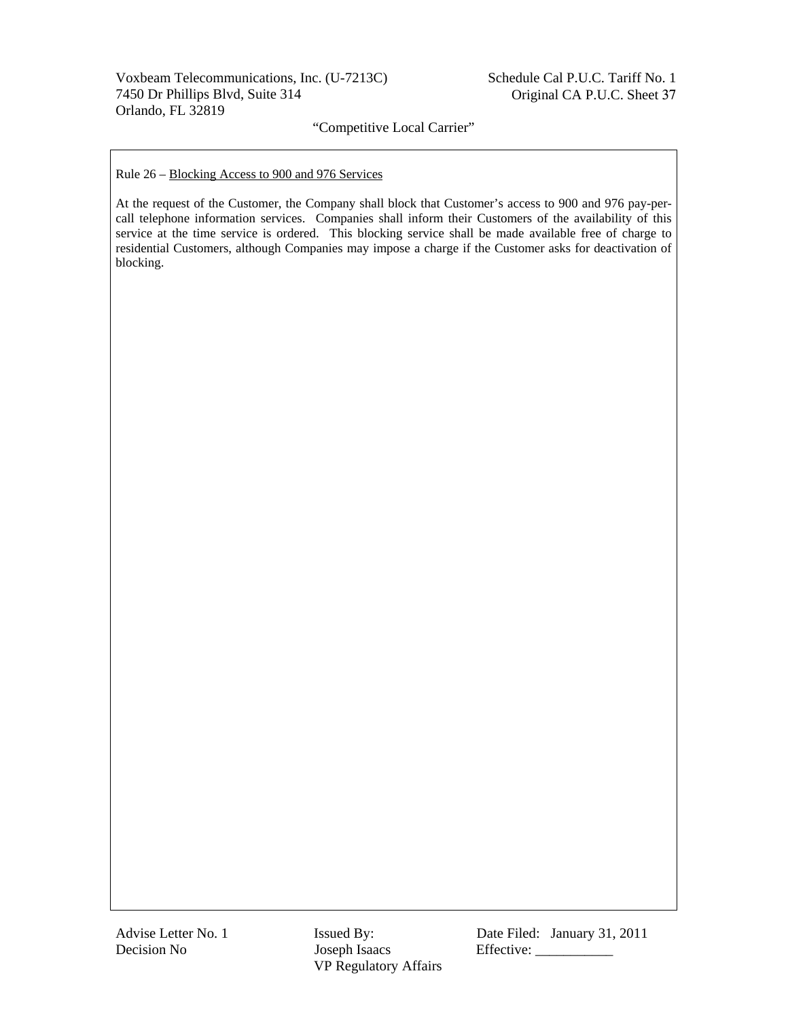Rule 26 – Blocking Access to 900 and 976 Services

At the request of the Customer, the Company shall block that Customer's access to 900 and 976 pay-percall telephone information services. Companies shall inform their Customers of the availability of this service at the time service is ordered. This blocking service shall be made available free of charge to residential Customers, although Companies may impose a charge if the Customer asks for deactivation of blocking.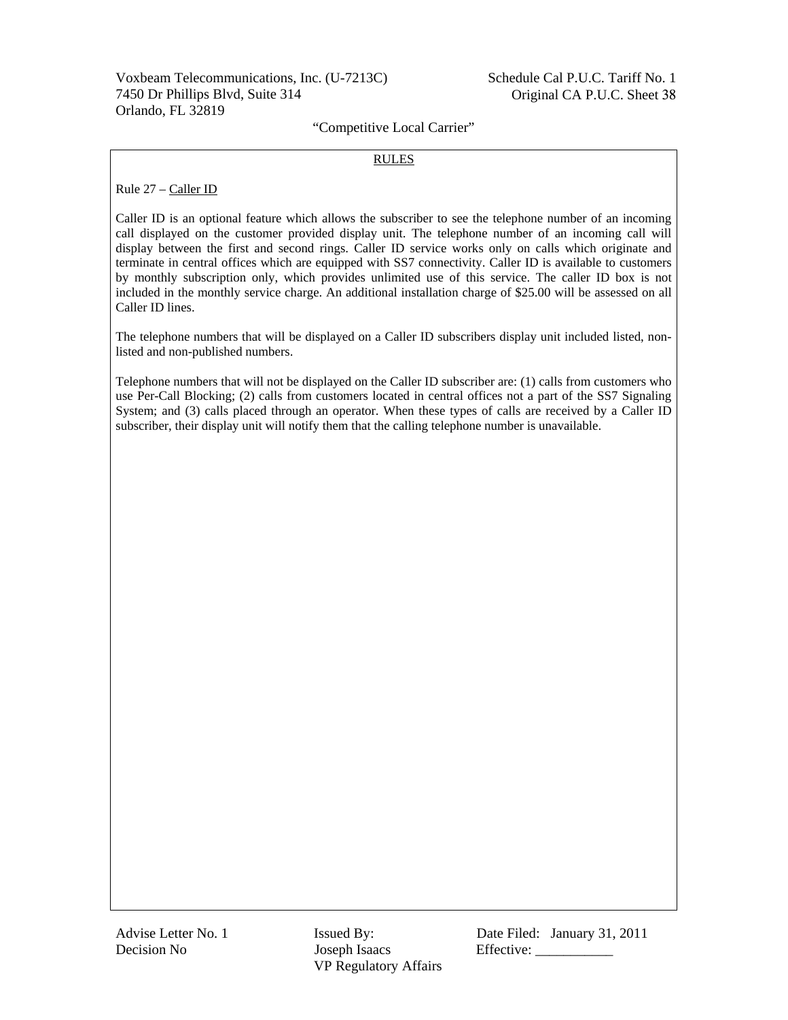#### RULES

Rule 27 – Caller ID

Caller ID is an optional feature which allows the subscriber to see the telephone number of an incoming call displayed on the customer provided display unit. The telephone number of an incoming call will display between the first and second rings. Caller ID service works only on calls which originate and terminate in central offices which are equipped with SS7 connectivity. Caller ID is available to customers by monthly subscription only, which provides unlimited use of this service. The caller ID box is not included in the monthly service charge. An additional installation charge of \$25.00 will be assessed on all Caller ID lines.

The telephone numbers that will be displayed on a Caller ID subscribers display unit included listed, nonlisted and non-published numbers.

Telephone numbers that will not be displayed on the Caller ID subscriber are: (1) calls from customers who use Per-Call Blocking; (2) calls from customers located in central offices not a part of the SS7 Signaling System; and (3) calls placed through an operator. When these types of calls are received by a Caller ID subscriber, their display unit will notify them that the calling telephone number is unavailable.

Decision No Joseph Isaacs Effective: \_\_\_\_\_\_\_\_\_\_\_ VP Regulatory Affairs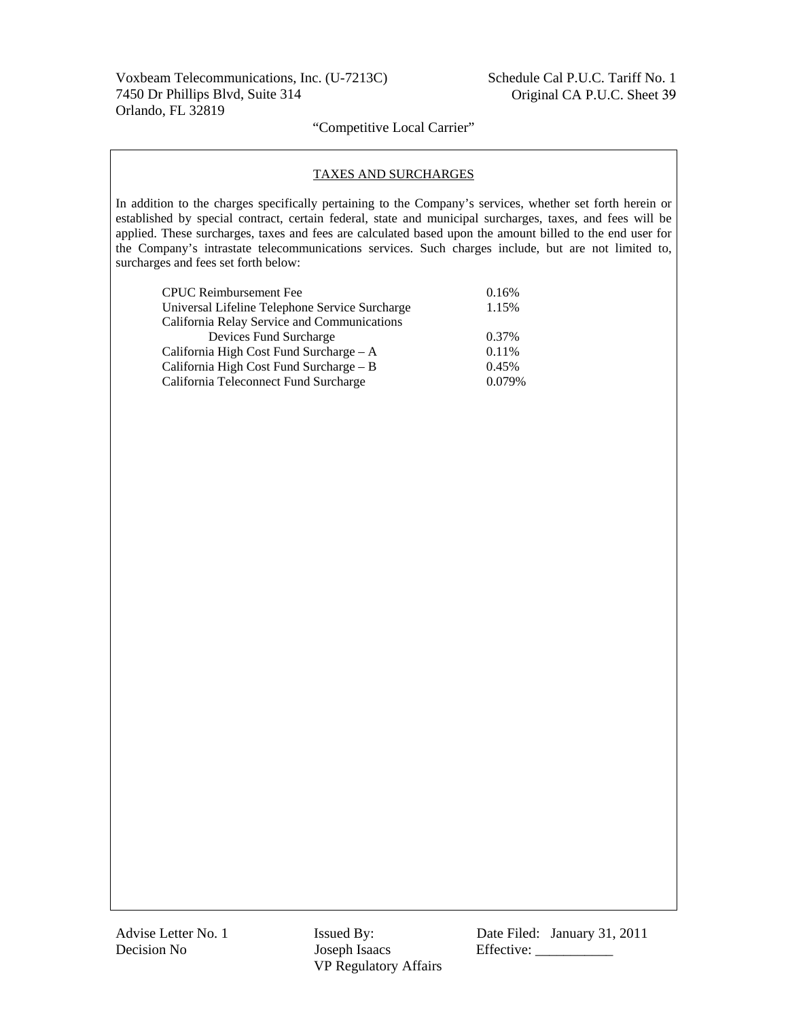#### TAXES AND SURCHARGES

In addition to the charges specifically pertaining to the Company's services, whether set forth herein or established by special contract, certain federal, state and municipal surcharges, taxes, and fees will be applied. These surcharges, taxes and fees are calculated based upon the amount billed to the end user for the Company's intrastate telecommunications services. Such charges include, but are not limited to, surcharges and fees set forth below:

| <b>CPUC</b> Reimbursement Fee                  | 0.16%  |
|------------------------------------------------|--------|
| Universal Lifeline Telephone Service Surcharge | 1.15%  |
| California Relay Service and Communications    |        |
| Devices Fund Surcharge                         | 0.37%  |
| California High Cost Fund Surcharge - A        | 0.11%  |
| California High Cost Fund Surcharge - B        | 0.45%  |
| California Teleconnect Fund Surcharge          | 0.079% |

Advise Letter No. 1 **Issued By:** Date Filed: January 31, 2011 Decision No Joseph Isaacs Effective: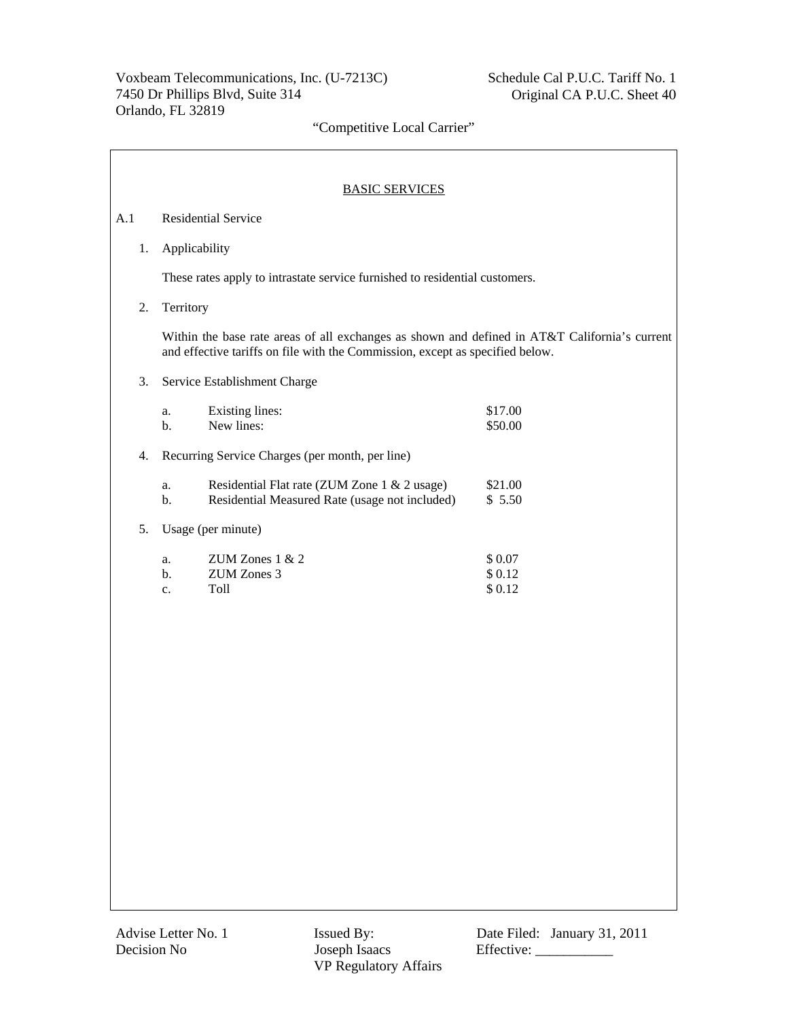|     | <b>BASIC SERVICES</b>                                                                                                                                                          |  |  |  |  |
|-----|--------------------------------------------------------------------------------------------------------------------------------------------------------------------------------|--|--|--|--|
| A.1 | <b>Residential Service</b>                                                                                                                                                     |  |  |  |  |
| 1.  | Applicability                                                                                                                                                                  |  |  |  |  |
|     | These rates apply to intrastate service furnished to residential customers.                                                                                                    |  |  |  |  |
| 2.  | Territory                                                                                                                                                                      |  |  |  |  |
|     | Within the base rate areas of all exchanges as shown and defined in AT&T California's current<br>and effective tariffs on file with the Commission, except as specified below. |  |  |  |  |
| 3.  | Service Establishment Charge                                                                                                                                                   |  |  |  |  |
|     | <b>Existing lines:</b><br>\$17.00<br>a.<br>New lines:<br>b.<br>\$50.00                                                                                                         |  |  |  |  |
| 4.  | Recurring Service Charges (per month, per line)                                                                                                                                |  |  |  |  |
|     | \$21.00<br>Residential Flat rate (ZUM Zone 1 & 2 usage)<br>a.<br>\$5.50<br>b.<br>Residential Measured Rate (usage not included)                                                |  |  |  |  |
| 5.  | Usage (per minute)                                                                                                                                                             |  |  |  |  |
|     | ZUM Zones 1 & 2<br>\$0.07<br>a.<br>ZUM Zones 3<br>\$0.12<br>$\mathbf{b}$ .<br>Toll<br>\$0.12<br>c.                                                                             |  |  |  |  |
|     |                                                                                                                                                                                |  |  |  |  |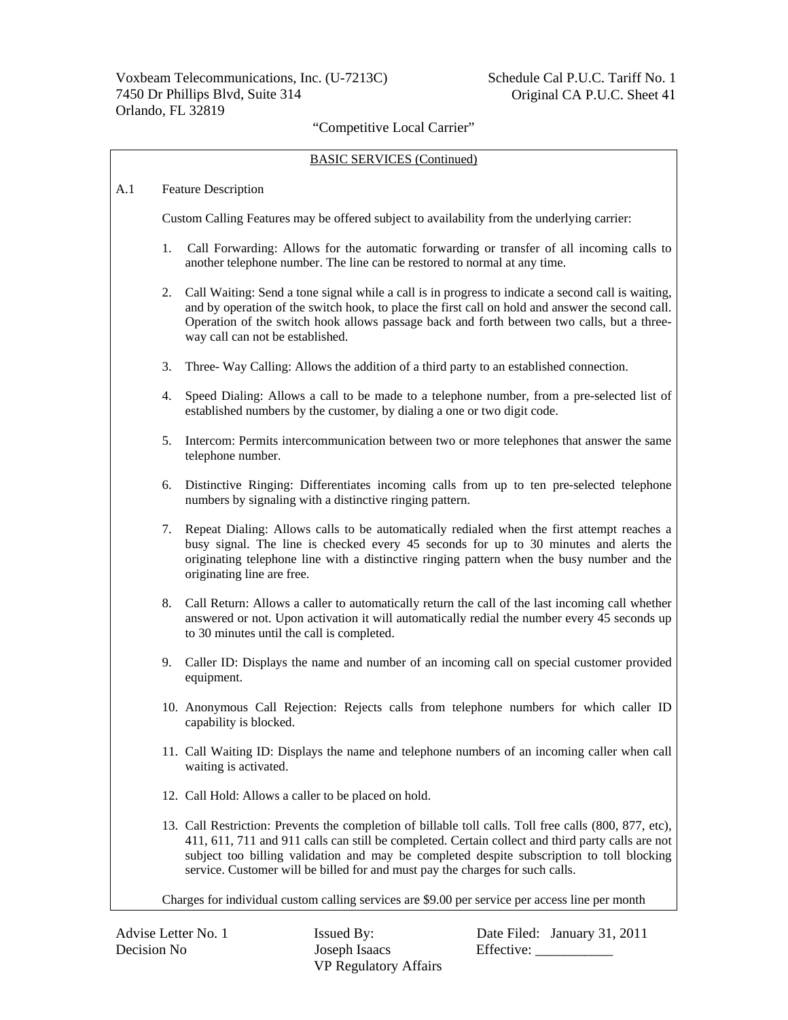#### BASIC SERVICES (Continued)

#### A.1 Feature Description

Custom Calling Features may be offered subject to availability from the underlying carrier:

- 1. Call Forwarding: Allows for the automatic forwarding or transfer of all incoming calls to another telephone number. The line can be restored to normal at any time.
- 2. Call Waiting: Send a tone signal while a call is in progress to indicate a second call is waiting, and by operation of the switch hook, to place the first call on hold and answer the second call. Operation of the switch hook allows passage back and forth between two calls, but a threeway call can not be established.
- 3. Three- Way Calling: Allows the addition of a third party to an established connection.
- 4. Speed Dialing: Allows a call to be made to a telephone number, from a pre-selected list of established numbers by the customer, by dialing a one or two digit code.
- 5. Intercom: Permits intercommunication between two or more telephones that answer the same telephone number.
- 6. Distinctive Ringing: Differentiates incoming calls from up to ten pre-selected telephone numbers by signaling with a distinctive ringing pattern.
- 7. Repeat Dialing: Allows calls to be automatically redialed when the first attempt reaches a busy signal. The line is checked every 45 seconds for up to 30 minutes and alerts the originating telephone line with a distinctive ringing pattern when the busy number and the originating line are free.
- 8. Call Return: Allows a caller to automatically return the call of the last incoming call whether answered or not. Upon activation it will automatically redial the number every 45 seconds up to 30 minutes until the call is completed.
- 9. Caller ID: Displays the name and number of an incoming call on special customer provided equipment.
- 10. Anonymous Call Rejection: Rejects calls from telephone numbers for which caller ID capability is blocked.
- 11. Call Waiting ID: Displays the name and telephone numbers of an incoming caller when call waiting is activated.
- 12. Call Hold: Allows a caller to be placed on hold.
- 13. Call Restriction: Prevents the completion of billable toll calls. Toll free calls (800, 877, etc), 411, 611, 711 and 911 calls can still be completed. Certain collect and third party calls are not subject too billing validation and may be completed despite subscription to toll blocking service. Customer will be billed for and must pay the charges for such calls.

Charges for individual custom calling services are \$9.00 per service per access line per month

Decision No Joseph Isaacs Effective: \_\_\_\_\_\_\_\_\_\_\_ VP Regulatory Affairs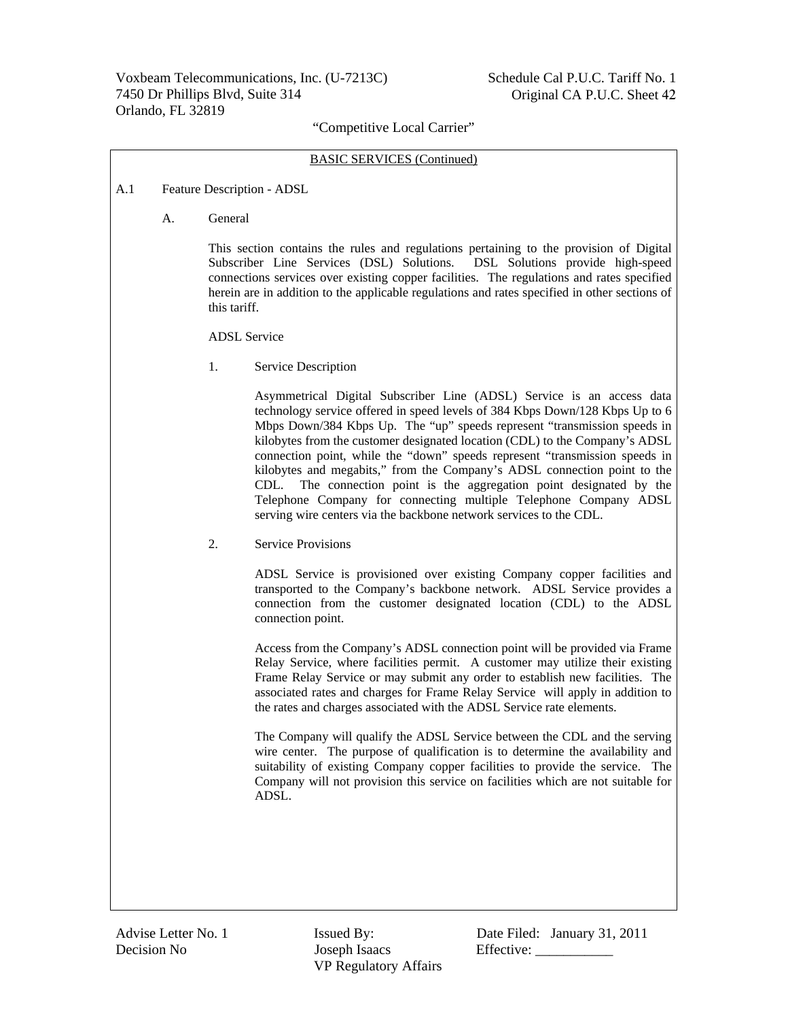#### BASIC SERVICES (Continued)

- A.1 Feature Description ADSL
	- A. General

 This section contains the rules and regulations pertaining to the provision of Digital Subscriber Line Services (DSL) Solutions. DSL Solutions provide high-speed connections services over existing copper facilities. The regulations and rates specified herein are in addition to the applicable regulations and rates specified in other sections of this tariff.

ADSL Service

1. Service Description

 Asymmetrical Digital Subscriber Line (ADSL) Service is an access data technology service offered in speed levels of 384 Kbps Down/128 Kbps Up to 6 Mbps Down/384 Kbps Up. The "up" speeds represent "transmission speeds in kilobytes from the customer designated location (CDL) to the Company's ADSL connection point, while the "down" speeds represent "transmission speeds in kilobytes and megabits," from the Company's ADSL connection point to the CDL. The connection point is the aggregation point designated by the Telephone Company for connecting multiple Telephone Company ADSL serving wire centers via the backbone network services to the CDL.

2. Service Provisions

 ADSL Service is provisioned over existing Company copper facilities and transported to the Company's backbone network. ADSL Service provides a connection from the customer designated location (CDL) to the ADSL connection point.

 Access from the Company's ADSL connection point will be provided via Frame Relay Service, where facilities permit. A customer may utilize their existing Frame Relay Service or may submit any order to establish new facilities. The associated rates and charges for Frame Relay Service will apply in addition to the rates and charges associated with the ADSL Service rate elements.

 The Company will qualify the ADSL Service between the CDL and the serving wire center. The purpose of qualification is to determine the availability and suitability of existing Company copper facilities to provide the service. The Company will not provision this service on facilities which are not suitable for ADSL.

Decision No Joseph Isaacs Effective: \_\_\_\_\_\_\_\_\_\_\_ VP Regulatory Affairs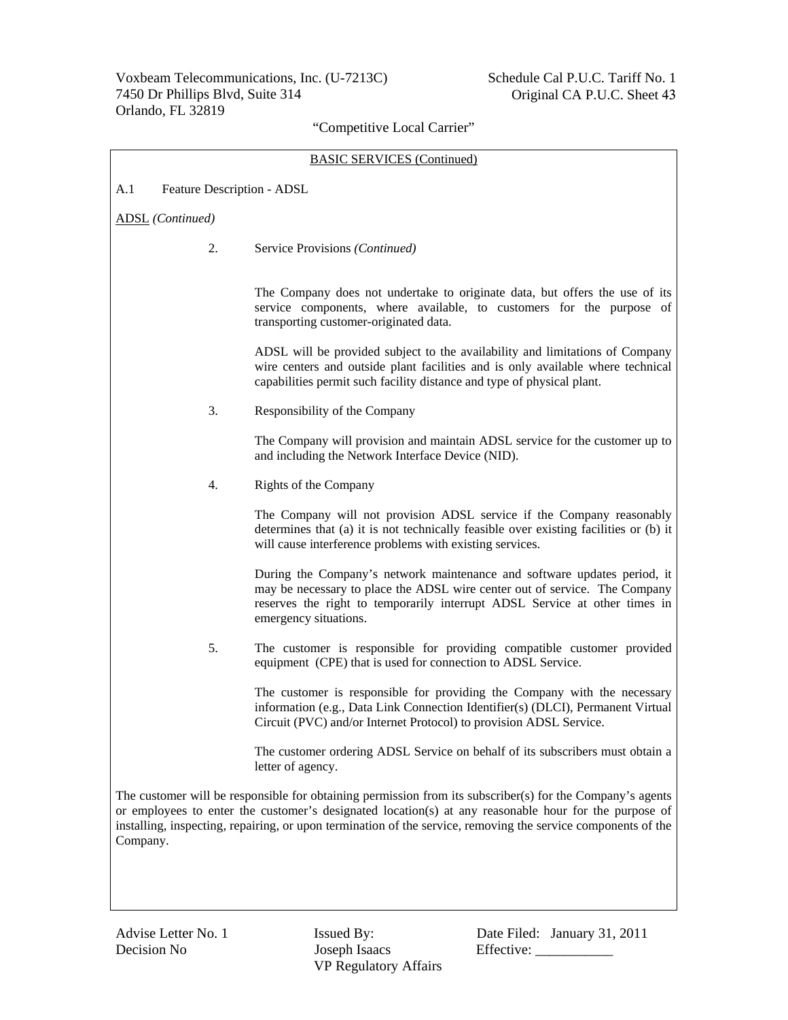| <b>BASIC SERVICES (Continued)</b>                                                                                                                                                                                                                                                                                                               |                                                                                                                                                                                                                                                               |  |  |  |
|-------------------------------------------------------------------------------------------------------------------------------------------------------------------------------------------------------------------------------------------------------------------------------------------------------------------------------------------------|---------------------------------------------------------------------------------------------------------------------------------------------------------------------------------------------------------------------------------------------------------------|--|--|--|
| A.1<br>Feature Description - ADSL                                                                                                                                                                                                                                                                                                               |                                                                                                                                                                                                                                                               |  |  |  |
| <b>ADSL</b> (Continued)                                                                                                                                                                                                                                                                                                                         |                                                                                                                                                                                                                                                               |  |  |  |
| 2.                                                                                                                                                                                                                                                                                                                                              | Service Provisions (Continued)                                                                                                                                                                                                                                |  |  |  |
|                                                                                                                                                                                                                                                                                                                                                 | The Company does not undertake to originate data, but offers the use of its<br>service components, where available, to customers for the purpose of<br>transporting customer-originated data.                                                                 |  |  |  |
|                                                                                                                                                                                                                                                                                                                                                 | ADSL will be provided subject to the availability and limitations of Company<br>wire centers and outside plant facilities and is only available where technical<br>capabilities permit such facility distance and type of physical plant.                     |  |  |  |
| 3.                                                                                                                                                                                                                                                                                                                                              | Responsibility of the Company                                                                                                                                                                                                                                 |  |  |  |
|                                                                                                                                                                                                                                                                                                                                                 | The Company will provision and maintain ADSL service for the customer up to<br>and including the Network Interface Device (NID).                                                                                                                              |  |  |  |
| 4.                                                                                                                                                                                                                                                                                                                                              | Rights of the Company                                                                                                                                                                                                                                         |  |  |  |
|                                                                                                                                                                                                                                                                                                                                                 | The Company will not provision ADSL service if the Company reasonably<br>determines that (a) it is not technically feasible over existing facilities or (b) it<br>will cause interference problems with existing services.                                    |  |  |  |
|                                                                                                                                                                                                                                                                                                                                                 | During the Company's network maintenance and software updates period, it<br>may be necessary to place the ADSL wire center out of service. The Company<br>reserves the right to temporarily interrupt ADSL Service at other times in<br>emergency situations. |  |  |  |
| 5.                                                                                                                                                                                                                                                                                                                                              | The customer is responsible for providing compatible customer provided<br>equipment (CPE) that is used for connection to ADSL Service.                                                                                                                        |  |  |  |
|                                                                                                                                                                                                                                                                                                                                                 | The customer is responsible for providing the Company with the necessary<br>information (e.g., Data Link Connection Identifier(s) (DLCI), Permanent Virtual<br>Circuit (PVC) and/or Internet Protocol) to provision ADSL Service.                             |  |  |  |
|                                                                                                                                                                                                                                                                                                                                                 | The customer ordering ADSL Service on behalf of its subscribers must obtain a<br>letter of agency.                                                                                                                                                            |  |  |  |
| The customer will be responsible for obtaining permission from its subscriber(s) for the Company's agents<br>or employees to enter the customer's designated location(s) at any reasonable hour for the purpose of<br>installing, inspecting, repairing, or upon termination of the service, removing the service components of the<br>Company. |                                                                                                                                                                                                                                                               |  |  |  |
|                                                                                                                                                                                                                                                                                                                                                 |                                                                                                                                                                                                                                                               |  |  |  |

VP Regulatory Affairs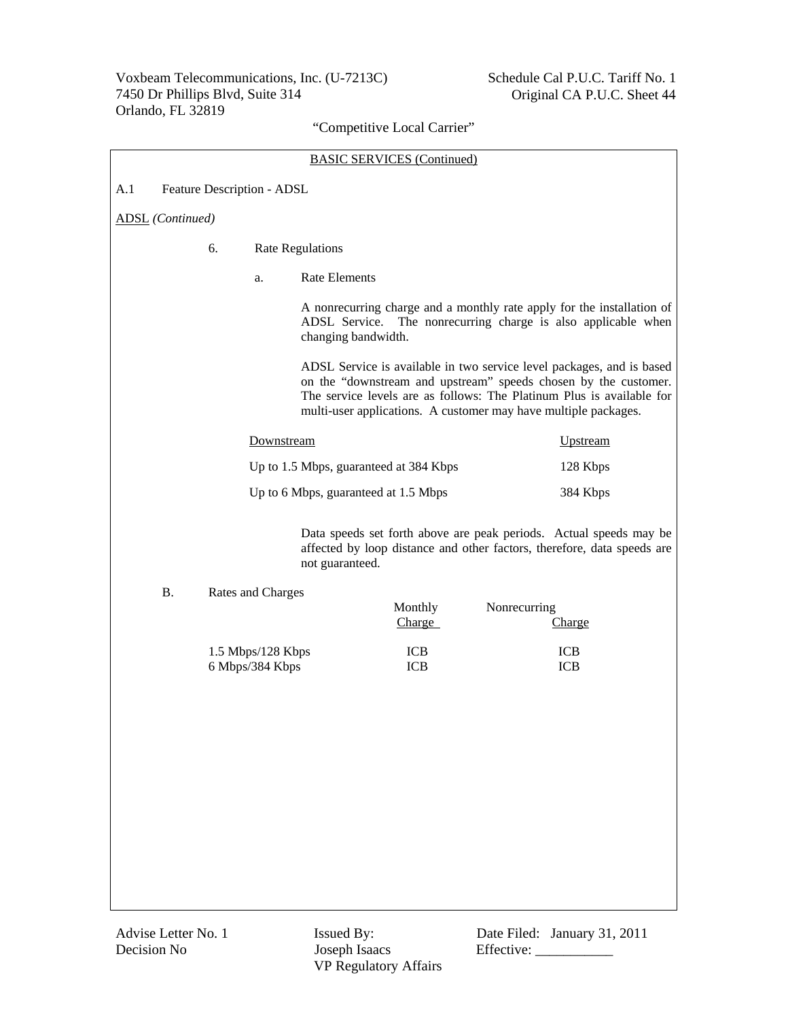| <b>BASIC SERVICES (Continued)</b> |    |                                                                                                                                                                   |                 |                                                                         |                                                                                |                                                                                                                                                                                                                                                                                                                                                                                                                                                       |
|-----------------------------------|----|-------------------------------------------------------------------------------------------------------------------------------------------------------------------|-----------------|-------------------------------------------------------------------------|--------------------------------------------------------------------------------|-------------------------------------------------------------------------------------------------------------------------------------------------------------------------------------------------------------------------------------------------------------------------------------------------------------------------------------------------------------------------------------------------------------------------------------------------------|
| A.1<br>Feature Description - ADSL |    |                                                                                                                                                                   |                 |                                                                         |                                                                                |                                                                                                                                                                                                                                                                                                                                                                                                                                                       |
| <b>ADSL</b> (Continued)           |    |                                                                                                                                                                   |                 |                                                                         |                                                                                |                                                                                                                                                                                                                                                                                                                                                                                                                                                       |
|                                   | 6. | <b>Rate Regulations</b>                                                                                                                                           |                 |                                                                         |                                                                                |                                                                                                                                                                                                                                                                                                                                                                                                                                                       |
|                                   |    | <b>Rate Elements</b><br>a.                                                                                                                                        |                 |                                                                         |                                                                                |                                                                                                                                                                                                                                                                                                                                                                                                                                                       |
|                                   |    | A nonrecurring charge and a monthly rate apply for the installation of<br>ADSL Service.<br>The nonrecurring charge is also applicable when<br>changing bandwidth. |                 |                                                                         |                                                                                |                                                                                                                                                                                                                                                                                                                                                                                                                                                       |
|                                   |    |                                                                                                                                                                   |                 |                                                                         |                                                                                |                                                                                                                                                                                                                                                                                                                                                                                                                                                       |
|                                   |    |                                                                                                                                                                   |                 |                                                                         |                                                                                | <b>Upstream</b>                                                                                                                                                                                                                                                                                                                                                                                                                                       |
|                                   |    |                                                                                                                                                                   |                 |                                                                         | 128 Kbps                                                                       |                                                                                                                                                                                                                                                                                                                                                                                                                                                       |
|                                   |    |                                                                                                                                                                   |                 |                                                                         |                                                                                | 384 Kbps                                                                                                                                                                                                                                                                                                                                                                                                                                              |
|                                   |    |                                                                                                                                                                   | not guaranteed. |                                                                         |                                                                                |                                                                                                                                                                                                                                                                                                                                                                                                                                                       |
| <b>B.</b>                         |    |                                                                                                                                                                   |                 | Monthly<br>Charge                                                       |                                                                                | Charge                                                                                                                                                                                                                                                                                                                                                                                                                                                |
|                                   |    |                                                                                                                                                                   |                 | <b>ICB</b><br><b>ICB</b>                                                |                                                                                | <b>ICB</b><br><b>ICB</b>                                                                                                                                                                                                                                                                                                                                                                                                                              |
|                                   |    |                                                                                                                                                                   |                 |                                                                         |                                                                                |                                                                                                                                                                                                                                                                                                                                                                                                                                                       |
|                                   |    |                                                                                                                                                                   |                 |                                                                         |                                                                                |                                                                                                                                                                                                                                                                                                                                                                                                                                                       |
|                                   |    |                                                                                                                                                                   |                 |                                                                         |                                                                                |                                                                                                                                                                                                                                                                                                                                                                                                                                                       |
|                                   |    |                                                                                                                                                                   |                 |                                                                         |                                                                                |                                                                                                                                                                                                                                                                                                                                                                                                                                                       |
|                                   |    |                                                                                                                                                                   |                 |                                                                         |                                                                                |                                                                                                                                                                                                                                                                                                                                                                                                                                                       |
|                                   |    |                                                                                                                                                                   |                 |                                                                         |                                                                                |                                                                                                                                                                                                                                                                                                                                                                                                                                                       |
|                                   |    |                                                                                                                                                                   |                 |                                                                         |                                                                                |                                                                                                                                                                                                                                                                                                                                                                                                                                                       |
|                                   |    |                                                                                                                                                                   |                 | Downstream<br>Rates and Charges<br>1.5 Mbps/128 Kbps<br>6 Mbps/384 Kbps | Up to 1.5 Mbps, guaranteed at 384 Kbps<br>Up to 6 Mbps, guaranteed at 1.5 Mbps | ADSL Service is available in two service level packages, and is based<br>on the "downstream and upstream" speeds chosen by the customer.<br>The service levels are as follows: The Platinum Plus is available for<br>multi-user applications. A customer may have multiple packages.<br>Data speeds set forth above are peak periods. Actual speeds may be<br>affected by loop distance and other factors, therefore, data speeds are<br>Nonrecurring |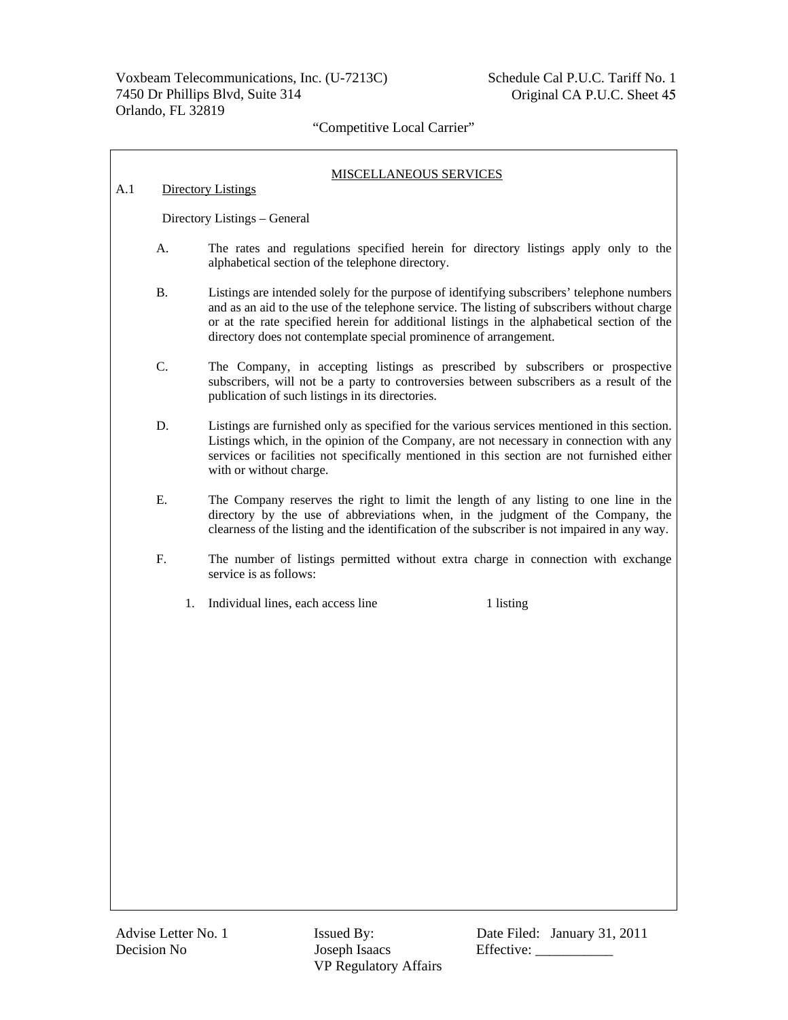# MISCELLANEOUS SERVICES A.1 Directory Listings

Directory Listings – General

- A. The rates and regulations specified herein for directory listings apply only to the alphabetical section of the telephone directory.
- B. Listings are intended solely for the purpose of identifying subscribers' telephone numbers and as an aid to the use of the telephone service. The listing of subscribers without charge or at the rate specified herein for additional listings in the alphabetical section of the directory does not contemplate special prominence of arrangement.
- C. The Company, in accepting listings as prescribed by subscribers or prospective subscribers, will not be a party to controversies between subscribers as a result of the publication of such listings in its directories.
- D. Listings are furnished only as specified for the various services mentioned in this section. Listings which, in the opinion of the Company, are not necessary in connection with any services or facilities not specifically mentioned in this section are not furnished either with or without charge.
- E. The Company reserves the right to limit the length of any listing to one line in the directory by the use of abbreviations when, in the judgment of the Company, the clearness of the listing and the identification of the subscriber is not impaired in any way.
- F. The number of listings permitted without extra charge in connection with exchange service is as follows:
	- 1. Individual lines, each access line 1 listing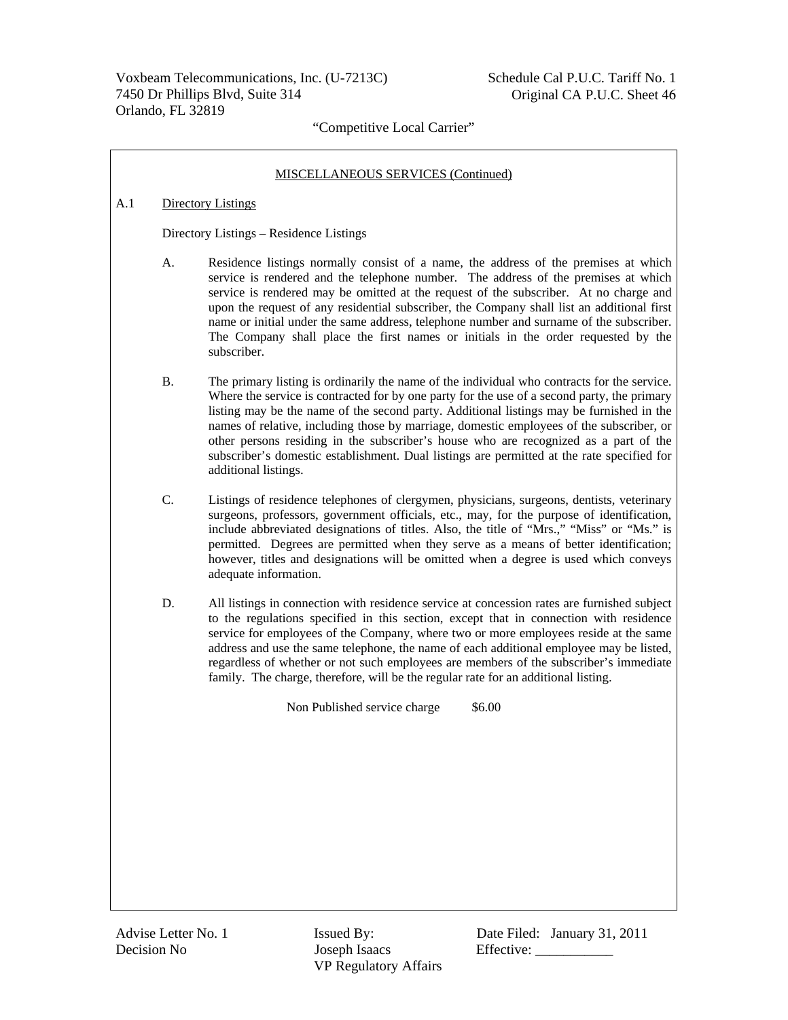#### MISCELLANEOUS SERVICES (Continued)

#### A.1 Directory Listings

Directory Listings – Residence Listings

- A. Residence listings normally consist of a name, the address of the premises at which service is rendered and the telephone number. The address of the premises at which service is rendered may be omitted at the request of the subscriber. At no charge and upon the request of any residential subscriber, the Company shall list an additional first name or initial under the same address, telephone number and surname of the subscriber. The Company shall place the first names or initials in the order requested by the subscriber.
- B. The primary listing is ordinarily the name of the individual who contracts for the service. Where the service is contracted for by one party for the use of a second party, the primary listing may be the name of the second party. Additional listings may be furnished in the names of relative, including those by marriage, domestic employees of the subscriber, or other persons residing in the subscriber's house who are recognized as a part of the subscriber's domestic establishment. Dual listings are permitted at the rate specified for additional listings.
- C. Listings of residence telephones of clergymen, physicians, surgeons, dentists, veterinary surgeons, professors, government officials, etc., may, for the purpose of identification, include abbreviated designations of titles. Also, the title of "Mrs.," "Miss" or "Ms." is permitted. Degrees are permitted when they serve as a means of better identification; however, titles and designations will be omitted when a degree is used which conveys adequate information.
- D. All listings in connection with residence service at concession rates are furnished subject to the regulations specified in this section, except that in connection with residence service for employees of the Company, where two or more employees reside at the same address and use the same telephone, the name of each additional employee may be listed, regardless of whether or not such employees are members of the subscriber's immediate family. The charge, therefore, will be the regular rate for an additional listing.

Non Published service charge \$6.00

Decision No Joseph Isaacs Effective: \_\_\_\_\_\_\_\_\_\_\_ VP Regulatory Affairs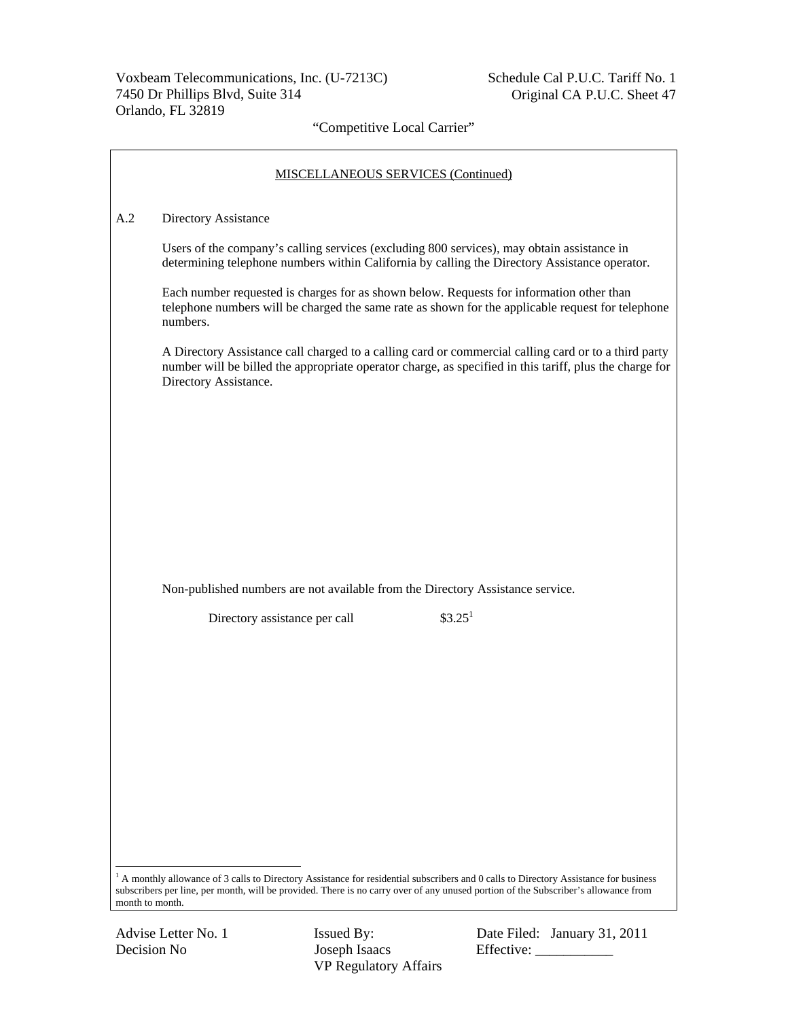$\Gamma$ 

٦

# "Competitive Local Carrier"

|     | <b>MISCELLANEOUS SERVICES (Continued)</b>                                                                                                                                                                                                                                              |
|-----|----------------------------------------------------------------------------------------------------------------------------------------------------------------------------------------------------------------------------------------------------------------------------------------|
| A.2 | Directory Assistance                                                                                                                                                                                                                                                                   |
|     | Users of the company's calling services (excluding 800 services), may obtain assistance in<br>determining telephone numbers within California by calling the Directory Assistance operator.                                                                                            |
|     | Each number requested is charges for as shown below. Requests for information other than<br>telephone numbers will be charged the same rate as shown for the applicable request for telephone<br>numbers.                                                                              |
|     | A Directory Assistance call charged to a calling card or commercial calling card or to a third party<br>number will be billed the appropriate operator charge, as specified in this tariff, plus the charge for<br>Directory Assistance.                                               |
|     |                                                                                                                                                                                                                                                                                        |
|     |                                                                                                                                                                                                                                                                                        |
|     |                                                                                                                                                                                                                                                                                        |
|     |                                                                                                                                                                                                                                                                                        |
|     | Non-published numbers are not available from the Directory Assistance service.                                                                                                                                                                                                         |
|     | \$3.25 <sup>1</sup><br>Directory assistance per call                                                                                                                                                                                                                                   |
|     |                                                                                                                                                                                                                                                                                        |
|     |                                                                                                                                                                                                                                                                                        |
|     |                                                                                                                                                                                                                                                                                        |
|     |                                                                                                                                                                                                                                                                                        |
|     |                                                                                                                                                                                                                                                                                        |
|     |                                                                                                                                                                                                                                                                                        |
|     |                                                                                                                                                                                                                                                                                        |
|     | <sup>1</sup> A monthly allowance of 3 calls to Directory Assistance for residential subscribers and 0 calls to Directory Assistance for business<br>subscribers per line, per month, will be provided. There is no carry over of any unused portion of the Subscriber's allowance from |

Advise Letter No. 1 **Issued By:** Date Filed: January 31, 2011 Decision No Joseph Isaacs Effective: \_\_\_\_\_\_\_\_\_\_\_

month to month.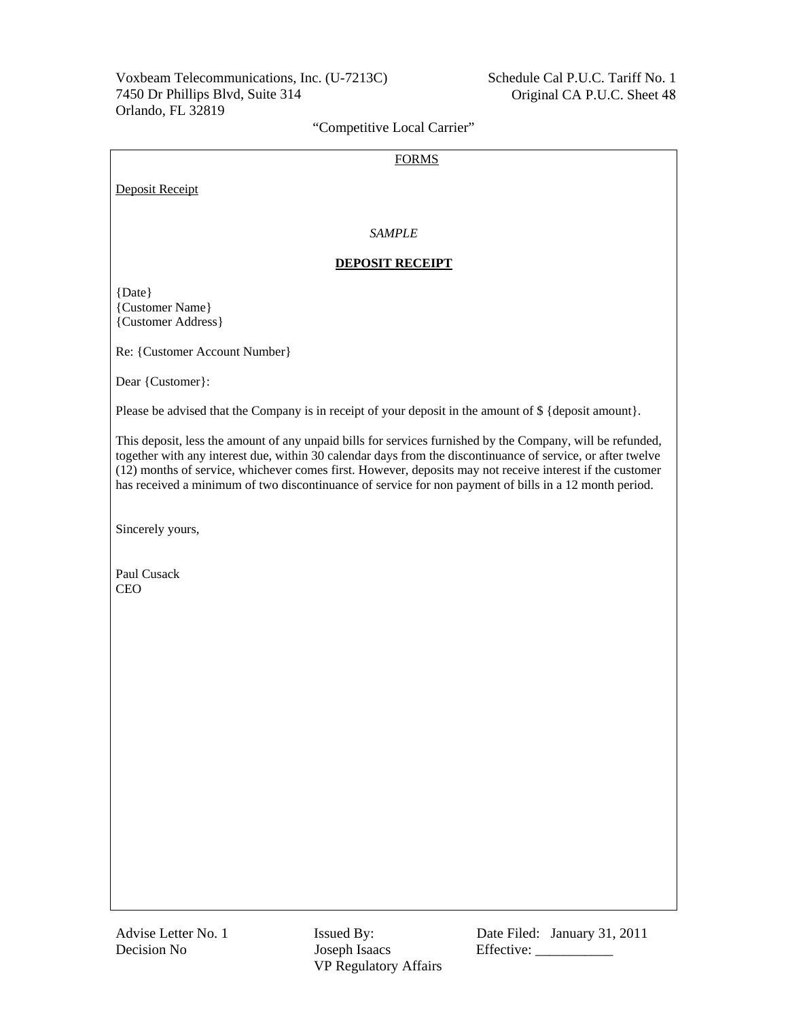#### FORMS

Deposit Receipt

## *SAMPLE*

#### **DEPOSIT RECEIPT**

{Date} {Customer Name} {Customer Address}

Re: {Customer Account Number}

Dear {Customer}:

Please be advised that the Company is in receipt of your deposit in the amount of  $\{\$  {deposit amount}.

This deposit, less the amount of any unpaid bills for services furnished by the Company, will be refunded, together with any interest due, within 30 calendar days from the discontinuance of service, or after twelve (12) months of service, whichever comes first. However, deposits may not receive interest if the customer has received a minimum of two discontinuance of service for non payment of bills in a 12 month period.

Sincerely yours,

Paul Cusack CEO

Decision No Joseph Isaacs Effective: \_\_\_\_\_\_\_\_\_\_\_ VP Regulatory Affairs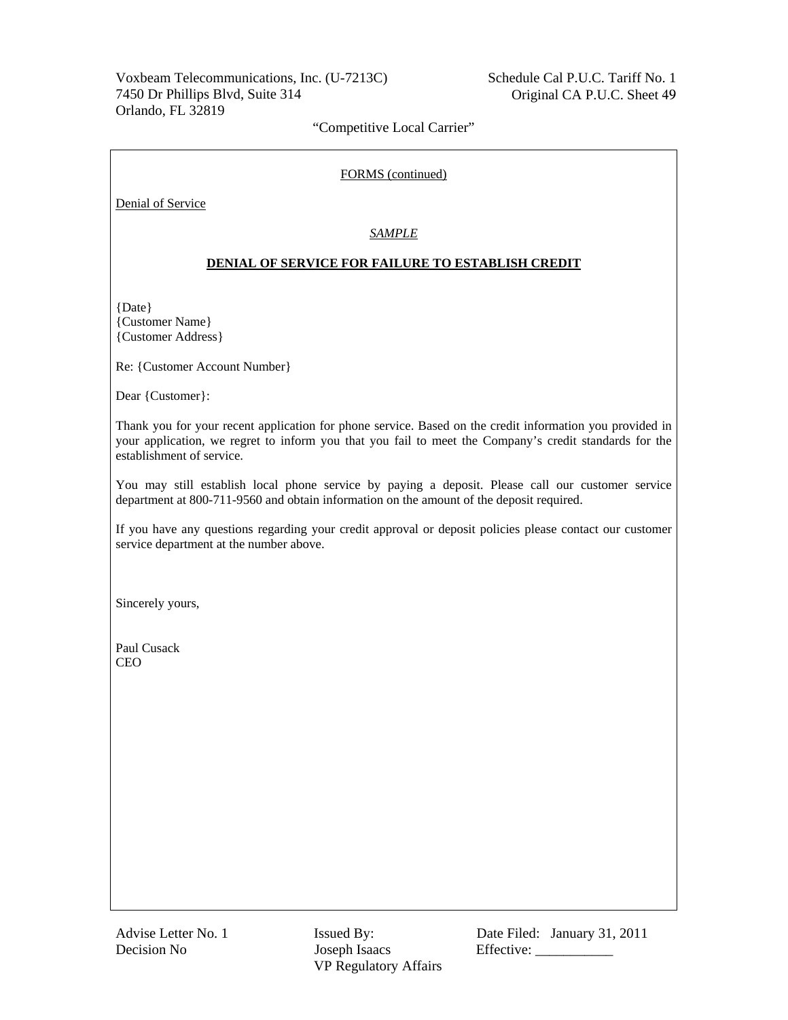#### FORMS (continued)

Denial of Service

### *SAMPLE*

### **DENIAL OF SERVICE FOR FAILURE TO ESTABLISH CREDIT**

{Date} {Customer Name} {Customer Address}

Re: {Customer Account Number}

Dear {Customer}:

Thank you for your recent application for phone service. Based on the credit information you provided in your application, we regret to inform you that you fail to meet the Company's credit standards for the establishment of service.

You may still establish local phone service by paying a deposit. Please call our customer service department at 800-711-9560 and obtain information on the amount of the deposit required.

If you have any questions regarding your credit approval or deposit policies please contact our customer service department at the number above.

Sincerely yours,

Paul Cusack CEO

Decision No Joseph Isaacs Effective: \_\_\_\_\_\_\_\_\_\_\_ VP Regulatory Affairs